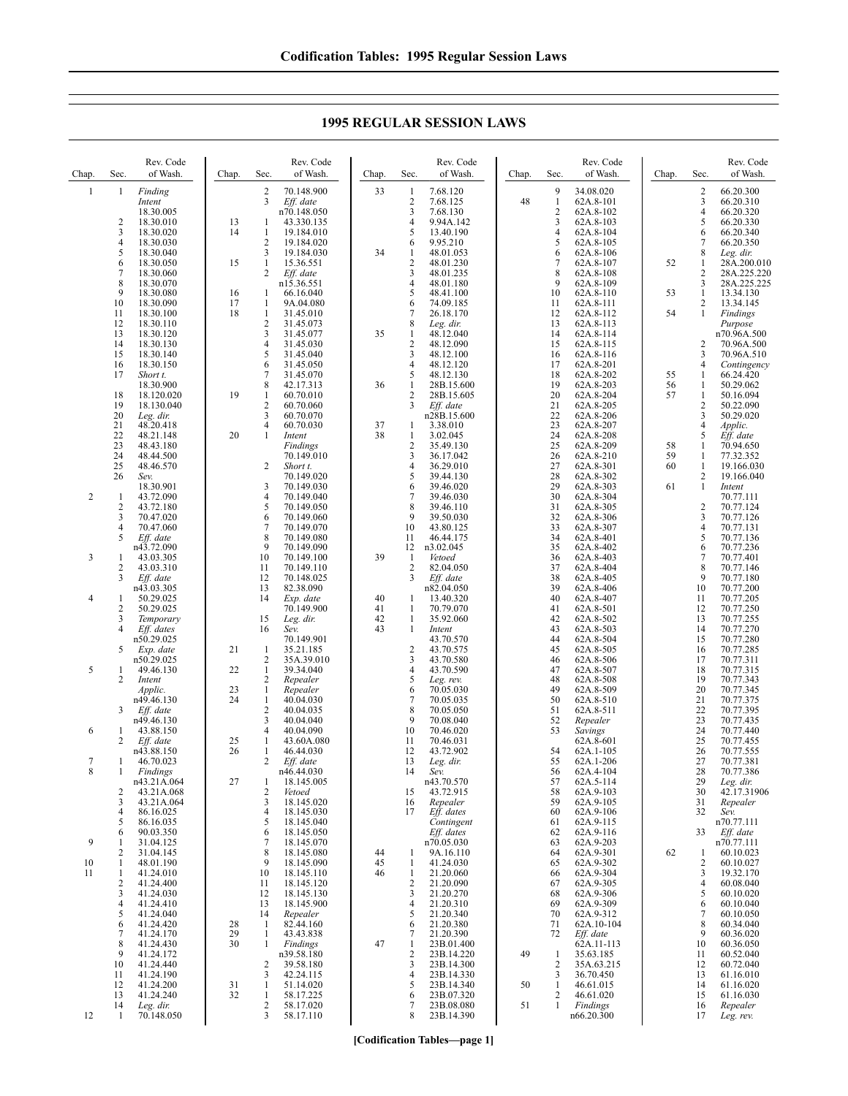**1995 REGULAR SESSION LAWS**

| Chap.        | Sec.                | Rev. Code<br>of Wash.     | Chap.    | Sec.                           | Rev. Code<br>of Wash.    | Chap.    | Sec.                         | Rev. Code<br>of Wash.    | Chap. | Sec.                | Rev. Code<br>of Wash.   | Chap.    | Sec.                             | Rev. Code<br>of Wash.      |
|--------------|---------------------|---------------------------|----------|--------------------------------|--------------------------|----------|------------------------------|--------------------------|-------|---------------------|-------------------------|----------|----------------------------------|----------------------------|
| $\mathbf{1}$ | $\mathbf{1}$        | Finding                   |          | 2                              | 70.148.900               | 33       | $\mathbf{1}$                 | 7.68.120                 |       | 9                   | 34.08.020               |          | $\overline{c}$                   | 66.20.300                  |
|              |                     | Intent<br>18.30.005       |          | 3                              | Eff. date<br>n70.148.050 |          | 2<br>3                       | 7.68.125<br>7.68.130     | 48    | 1<br>$\sqrt{2}$     | 62A.8-101<br>62A.8-102  |          | $\mathfrak{Z}$<br>$\overline{4}$ | 66.20.310<br>66.20.320     |
|              | $\overline{2}$      | 18.30.010                 | 13       | 1                              | 43.330.135               |          | 4                            | 9.94A.142                |       | 3                   | 62A.8-103               |          | 5                                | 66.20.330                  |
|              | 3<br>4              | 18.30.020<br>18.30.030    | 14       | $\mathbf{1}$<br>$\overline{2}$ | 19.184.010<br>19.184.020 |          | 5<br>6                       | 13.40.190<br>9.95.210    |       | $\overline{4}$<br>5 | 62A.8-104<br>62A.8-105  |          | 6<br>$\tau$                      | 66.20.340<br>66.20.350     |
|              | 5                   | 18.30.040                 |          | 3                              | 19.184.030               | 34       | 1                            | 48.01.053                |       | 6                   | 62A.8-106               |          | 8                                | Leg. dir.                  |
|              | 6<br>7              | 18.30.050<br>18.30.060    | 15       | 1<br>2                         | 15.36.551<br>Eff. date   |          | $\overline{\mathbf{c}}$<br>3 | 48.01.230<br>48.01.235   |       | 7<br>8              | 62A.8-107<br>62A.8-108  | 52       | 1<br>$\overline{2}$              | 28A.200.010<br>28A.225.220 |
|              | 8                   | 18.30.070                 |          |                                | n15.36.551               |          | 4                            | 48.01.180                |       | 9                   | 62A.8-109               |          | 3                                | 28A.225.225                |
|              | 9<br>10             | 18.30.080<br>18.30.090    | 16<br>17 | 1<br>1                         | 66.16.040<br>9A.04.080   |          | 5<br>6                       | 48.41.100<br>74.09.185   |       | 10<br>11            | 62A.8-110<br>62A.8-111  | 53       | $\mathbf{1}$<br>$\overline{c}$   | 13.34.130<br>13.34.145     |
|              | 11                  | 18.30.100                 | 18       | 1                              | 31.45.010                |          | 7                            | 26.18.170                |       | 12                  | 62A.8-112               | 54       | 1                                | Findings                   |
|              | 12<br>13            | 18.30.110<br>18.30.120    |          | 2<br>3                         | 31.45.073<br>31.45.077   | 35       | 8<br>1                       | Leg. dir.<br>48.12.040   |       | 13<br>14            | 62A.8-113<br>62A.8-114  |          |                                  | Purpose<br>n70.96A.500     |
|              | 14                  | 18.30.130                 |          | $\overline{4}$<br>5            | 31.45.030                |          | $\overline{c}$               | 48.12.090                |       | 15                  | 62A.8-115               |          | 2<br>3                           | 70.96A.500                 |
|              | 15<br>16            | 18.30.140<br>18.30.150    |          | 6                              | 31.45.040<br>31.45.050   |          | 3<br>4                       | 48.12.100<br>48.12.120   |       | 16<br>17            | 62A.8-116<br>62A.8-201  |          | $\overline{4}$                   | 70.96A.510<br>Contingency  |
|              | 17                  | Short t.                  |          | 7<br>8                         | 31.45.070<br>42.17.313   | 36       | 5<br>1                       | 48.12.130<br>28B.15.600  |       | 18<br>19            | 62A.8-202               | 55       | 1                                | 66.24.420                  |
|              | 18                  | 18.30.900<br>18.120.020   | 19       | 1                              | 60.70.010                |          | 2                            | 28B.15.605               |       | 20                  | 62A.8-203<br>62A.8-204  | 56<br>57 | $\mathbf{1}$<br>$\mathbf{1}$     | 50.29.062<br>50.16.094     |
|              | 19<br>20            | 18.130.040                |          | $\overline{c}$<br>3            | 60.70.060<br>60.70.070   |          | 3                            | Eff. date<br>n28B.15.600 |       | 21<br>22            | 62A.8-205<br>62A.8-206  |          | $\overline{c}$<br>$\mathfrak{Z}$ | 50.22.090<br>50.29.020     |
|              | 21                  | Leg. dir.<br>48.20.418    |          | 4                              | 60.70.030                | 37       | 1                            | 3.38.010                 |       | 23                  | 62A.8-207               |          | $\overline{4}$                   | Applic.                    |
|              | 22<br>23            | 48.21.148<br>48.43.180    | 20       | $\mathbf{1}$                   | Intent<br>Findings       | 38       | 1<br>$\overline{c}$          | 3.02.045<br>35.49.130    |       | 24<br>25            | 62A.8-208<br>62A.8-209  | 58       | 5<br>1                           | Eff. date<br>70.94.650     |
|              | 24                  | 48.44.500                 |          |                                | 70.149.010               |          | 3                            | 36.17.042                |       | 26                  | 62A.8-210               | 59       | 1                                | 77.32.352                  |
|              | 25<br>26            | 48.46.570<br>Sev.         |          | 2                              | Short t.<br>70.149.020   |          | 4<br>5                       | 36.29.010<br>39.44.130   |       | 27<br>28            | 62A.8-301<br>62A.8-302  | 60       | $\mathbf{1}$<br>$\overline{2}$   | 19.166.030<br>19.166.040   |
|              |                     | 18.30.901                 |          | 3                              | 70.149.030               |          | 6                            | 39.46.020                |       | 29                  | 62A.8-303               | 61       | $\mathbf{1}$                     | Intent                     |
| 2            | 1<br>$\overline{2}$ | 43.72.090<br>43.72.180    |          | 4<br>5                         | 70.149.040<br>70.149.050 |          | 7<br>8                       | 39.46.030<br>39.46.110   |       | 30<br>31            | 62A.8-304<br>62A.8-305  |          | $\overline{c}$                   | 70.77.111<br>70.77.124     |
|              | 3                   | 70.47.020                 |          | 6                              | 70.149.060               |          | 9                            | 39.50.030                |       | 32                  | 62A.8-306               |          | 3                                | 70.77.126                  |
|              | 4<br>5              | 70.47.060<br>Eff. date    |          | 7<br>8                         | 70.149.070<br>70.149.080 |          | 10<br>11                     | 43.80.125<br>46.44.175   |       | 33<br>34            | 62A.8-307<br>62A.8-401  |          | $\overline{4}$<br>5              | 70.77.131<br>70.77.136     |
|              |                     | n43.72.090                |          | 9                              | 70.149.090               | 39       | 12                           | n3.02.045                |       | 35                  | 62A.8-402               |          | 6<br>7                           | 70.77.236                  |
| 3            | 1<br>2              | 43.03.305<br>43.03.310    |          | 10<br>11                       | 70.149.100<br>70.149.110 |          | -1<br>$\overline{c}$         | Vetoed<br>82.04.050      |       | 36<br>37            | 62A.8-403<br>62A.8-404  |          | $\,$ 8 $\,$                      | 70.77.401<br>70.77.146     |
|              | 3                   | Eff. date<br>n43.03.305   |          | 12<br>13                       | 70.148.025<br>82.38.090  |          | 3                            | Eff. date<br>n82.04.050  |       | 38<br>39            | 62A.8-405<br>62A.8-406  |          | 9<br>10                          | 70.77.180<br>70.77.200     |
| 4            | 1                   | 50.29.025                 |          | 14                             | Exp. date                | 40       | 1                            | 13.40.320                |       | 40                  | 62A.8-407               |          | 11                               | 70.77.205                  |
|              | 2<br>3              | 50.29.025<br>Temporary    |          | 15                             | 70.149.900<br>Leg. dir.  | 41<br>42 | 1<br>$\mathbf{1}$            | 70.79.070<br>35.92.060   |       | 41<br>42            | 62A.8-501<br>62A.8-502  |          | 12<br>13                         | 70.77.250<br>70.77.255     |
|              | 4                   | Eff. dates                |          | 16                             | Sev.                     | 43       | 1                            | Intent                   |       | 43                  | 62A.8-503               |          | 14                               | 70.77.270                  |
|              | 5                   | n50.29.025<br>Exp. date   | 21       | 1                              | 70.149.901<br>35.21.185  |          | $\overline{c}$               | 43.70.570<br>43.70.575   |       | 44<br>45            | 62A.8-504<br>62A.8-505  |          | 15<br>16                         | 70.77.280<br>70.77.285     |
|              |                     | n50.29.025                |          | 2                              | 35A.39.010               |          | 3                            | 43.70.580                |       | 46                  | 62A.8-506               |          | 17                               | 70.77.311                  |
| 5            | 1<br>2              | 49.46.130<br>Intent       | 22       | 1<br>2                         | 39.34.040<br>Repealer    |          | 4<br>5                       | 43.70.590<br>Leg. rev.   |       | 47<br>48            | 62A.8-507<br>62A.8-508  |          | 18<br>19                         | 70.77.315<br>70.77.343     |
|              |                     | Applic.                   | 23       | $\mathbf{1}$                   | Repealer                 |          | 6                            | 70.05.030                |       | 49                  | 62A.8-509               |          | 20                               | 70.77.345                  |
|              | 3                   | n49.46.130<br>Eff. date   | 24       | 1<br>2                         | 40.04.030<br>40.04.035   |          | 7<br>8                       | 70.05.035<br>70.05.050   |       | 50<br>51            | 62A.8-510<br>62A.8-511  |          | 21<br>22                         | 70.77.375<br>70.77.395     |
|              |                     | n49.46.130                |          | 3<br>$\overline{4}$            | 40.04.040                |          | 9<br>10                      | 70.08.040                |       | 52<br>53            | Repealer                |          | 23<br>24                         | 70.77.435                  |
| 6            | 1<br>2              | 43.88.150<br>Eff. date    | 25       | 1                              | 40.04.090<br>43.60A.080  |          | 11                           | 70.46.020<br>70.46.031   |       |                     | Savings<br>62A.8-601    |          | 25                               | 70.77.440<br>70.77.455     |
| 7            | 1                   | n43.88.150<br>46.70.023   | 26       | -1<br>2                        | 46.44.030<br>Eff. date   |          | 12<br>13                     | 43.72.902<br>Leg. dir.   |       | 54<br>55            | 62A.1-105<br>62A.1-206  |          | 26<br>27                         | 70.77.555<br>70.77.381     |
| 8            | $\mathbf{1}$        | Findings                  |          |                                | n46.44.030               |          | 14                           | Sev.                     |       | 56                  | 62A.4-104               |          | 28                               | 70.77.386                  |
|              | 2                   | n43.21A.064<br>43.21A.068 | 27       | 1<br>$\overline{\mathbf{c}}$   | 18.145.005<br>Vetoed     |          | 15                           | n43.70.570<br>43.72.915  |       | 57<br>58            | 62A.5-114<br>62A.9-103  |          | 29<br>30                         | Leg. dir.<br>42.17.31906   |
|              | 3                   | 43.21A.064                |          | 3                              | 18.145.020               |          | 16                           | Repealer                 |       | 59                  | 62A.9-105               |          | 31                               | Repealer                   |
|              | 4<br>5              | 86.16.025<br>86.16.035    |          | 4<br>5                         | 18.145.030<br>18.145.040 |          | 17                           | Eff. dates<br>Contingent |       | 60<br>61            | 62A.9-106<br>62A.9-115  |          | 32                               | Sev.<br>n70.77.111         |
|              | 6                   | 90.03.350                 |          | 6                              | 18.145.050               |          |                              | Eff. dates               |       | 62                  | 62A.9-116               |          | 33                               | Eff. date                  |
| 9            | 1<br>2              | 31.04.125<br>31.04.145    |          | 7<br>8                         | 18.145.070<br>18.145.080 | 44       | 1                            | n70.05.030<br>9A.16.110  |       | 63<br>64            | 62A.9-203<br>62A.9-301  | 62       | 1                                | n70.77.111<br>60.10.023    |
| 10<br>11     | 1<br>1              | 48.01.190<br>41.24.010    |          | 9<br>10                        | 18.145.090               | 45<br>46 | $\mathbf{1}$<br>$\mathbf{1}$ | 41.24.030<br>21.20.060   |       | 65                  | 62A.9-302<br>62A.9-304  |          | $\sqrt{2}$<br>3                  | 60.10.027<br>19.32.170     |
|              | 2                   | 41.24.400                 |          | 11                             | 18.145.110<br>18.145.120 |          | $\overline{\mathbf{c}}$      | 21.20.090                |       | 66<br>67            | 62A.9-305               |          | $\overline{4}$                   | 60.08.040                  |
|              | 3<br>4              | 41.24.030<br>41.24.410    |          | 12<br>13                       | 18.145.130<br>18.145.900 |          | 3<br>4                       | 21.20.270<br>21.20.310   |       | 68<br>69            | 62A.9-306<br>62A.9-309  |          | 5<br>6                           | 60.10.020<br>60.10.040     |
|              | 5                   | 41.24.040                 |          | 14                             | Repealer                 |          | 5                            | 21.20.340                |       | 70                  | 62A.9-312               |          | $\tau$                           | 60.10.050                  |
|              | 6<br>7              | 41.24.420<br>41.24.170    | 28<br>29 | 1<br>1                         | 82.44.160<br>43.43.838   |          | 6<br>7                       | 21.20.380<br>21.20.390   |       | 71<br>72            | 62A.10-104<br>Eff. date |          | 8<br>9                           | 60.34.040<br>60.36.020     |
|              | 8                   | 41.24.430                 | 30       | $\mathbf{1}$                   | Findings                 | 47       | $\mathbf{1}$                 | 23B.01.400               |       |                     | 62A.11-113              |          | 10                               | 60.36.050                  |
|              | 9<br>10             | 41.24.172<br>41.24.440    |          | $\overline{c}$                 | n39.58.180<br>39.58.180  |          | 2<br>3                       | 23B.14.220<br>23B.14.300 | 49    | -1<br>2             | 35.63.185<br>35A.63.215 |          | 11<br>12                         | 60.52.040<br>60.72.040     |
|              | 11<br>12            | 41.24.190<br>41.24.200    | 31       | 3<br>1                         | 42.24.115<br>51.14.020   |          | 4<br>5                       | 23B.14.330<br>23B.14.340 | 50    | 3<br>$\mathbf{1}$   | 36.70.450<br>46.61.015  |          | 13<br>14                         | 61.16.010<br>61.16.020     |
|              | 13                  | 41.24.240                 | 32       | $\mathbf{1}$                   | 58.17.225                |          | 6                            | 23B.07.320               |       | 2                   | 46.61.020               |          | 15                               | 61.16.030                  |
| 12           | 14<br>1             | Leg. dir.<br>70.148.050   |          | 2<br>3                         | 58.17.020<br>58.17.110   |          | 7<br>8                       | 23B.08.080<br>23B.14.390 | 51    | $\mathbf{1}$        | Findings<br>n66.20.300  |          | 16<br>17                         | Repealer<br>Leg. rev.      |
|              |                     |                           |          |                                |                          |          |                              |                          |       |                     |                         |          |                                  |                            |

## **[Codification Tables—page 1]**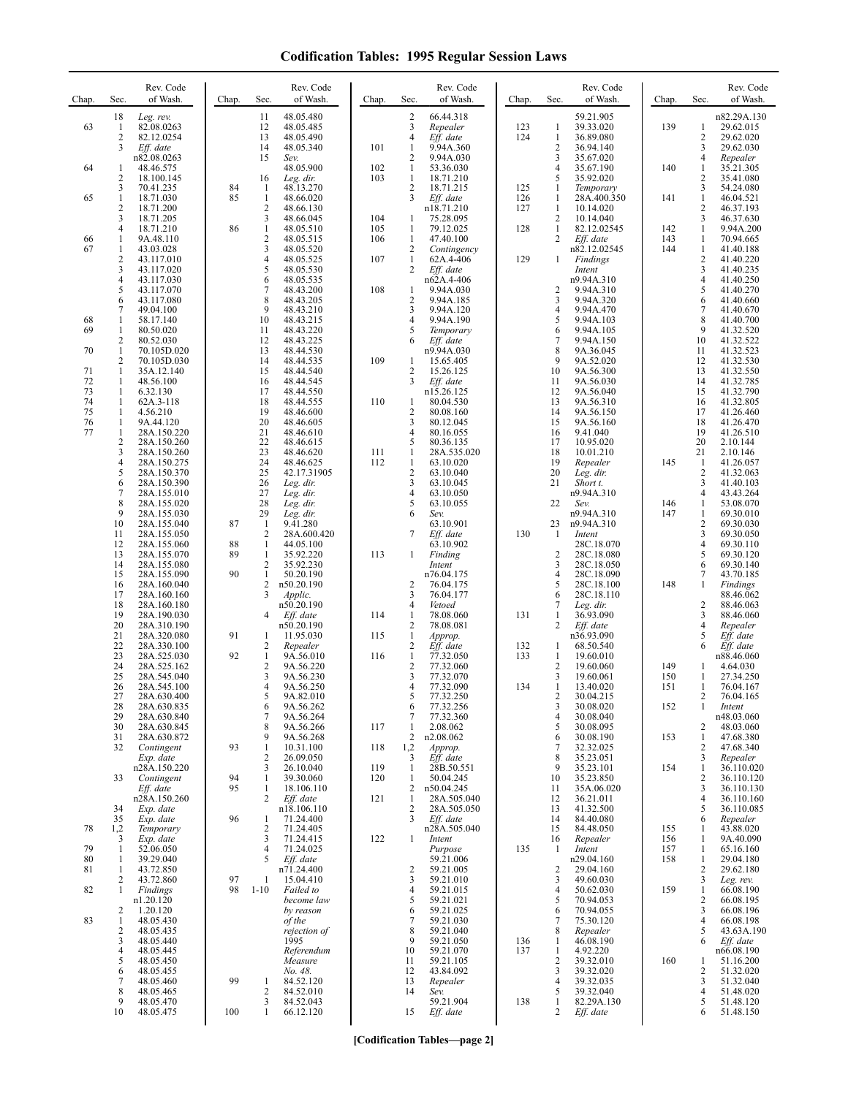| Chap.                      | Sec.                                         | Rev. Code<br>of Wash.                                                   | Chap.     | Sec.                                       | Rev. Code<br>of Wash.                                           | Chap.             | Sec.                                                  | Rev. Code<br>of Wash.                                           | Chap.      | Sec.                                                     | Rev. Code<br>of Wash.                                            | Chap.             | Sec.                                         | Rev. Code<br>of Wash.                                         |
|----------------------------|----------------------------------------------|-------------------------------------------------------------------------|-----------|--------------------------------------------|-----------------------------------------------------------------|-------------------|-------------------------------------------------------|-----------------------------------------------------------------|------------|----------------------------------------------------------|------------------------------------------------------------------|-------------------|----------------------------------------------|---------------------------------------------------------------|
| 63                         | 18<br>-1<br>$\overline{2}$<br>3              | Leg. rev.<br>82.08.0263<br>82.12.0254<br>Eff. date                      |           | 11<br>12<br>13<br>14                       | 48.05.480<br>48.05.485<br>48.05.490<br>48.05.340                | 101               | $\overline{2}$<br>3<br>$\overline{4}$<br>1            | 66.44.318<br>Repealer<br>Eff. date<br>9.94A.360                 | 123<br>124 | $\mathbf{1}$<br>$\mathbf{1}$<br>$\overline{c}$           | 59.21.905<br>39.33.020<br>36.89.080<br>36.94.140                 | 139               | 1<br>2<br>3                                  | n82.29A.130<br>29.62.015<br>29.62.020<br>29.62.030            |
| 64                         | 1<br>$\overline{c}$<br>3                     | n82.08.0263<br>48.46.575<br>18.100.145<br>70.41.235                     | 84        | 15<br>16<br>1                              | Sev.<br>48.05.900<br>Leg. dir.<br>48.13.270                     | 102<br>103        | $\overline{2}$<br>1<br>$\mathbf{1}$<br>$\overline{2}$ | 9.94A.030<br>53.36.030<br>18.71.210<br>18.71.215                | 125        | 3<br>$\overline{4}$<br>5<br>-1                           | 35.67.020<br>35.67.190<br>35.92.020<br>Temporary                 | 140               | 4<br>1<br>$\overline{\mathbf{c}}$<br>3       | Repealer<br>35.21.305<br>35.41.080<br>54.24.080               |
| 65                         | $\mathbf{1}$<br>$\overline{\mathbf{c}}$<br>3 | 18.71.030<br>18.71.200<br>18.71.205                                     | 85        | $\mathbf{1}$<br>$\sqrt{2}$<br>3            | 48.66.020<br>48.66.130<br>48.66.045                             | 104               | 3<br>$\mathbf{1}$                                     | Eff. date<br>n18.71.210<br>75.28.095                            | 126<br>127 | $\mathbf{1}$<br>$\mathbf{1}$<br>$\sqrt{2}$               | 28A.400.350<br>10.14.020<br>10.14.040                            | 141               | $\mathbf{1}$<br>$\overline{\mathbf{c}}$<br>3 | 46.04.521<br>46.37.193<br>46.37.630                           |
| 66<br>67                   | $\overline{4}$<br>$\mathbf{1}$<br>1<br>2     | 18.71.210<br>9A.48.110<br>43.03.028<br>43.117.010                       | 86        | $\mathbf{1}$<br>$\sqrt{2}$<br>3<br>4       | 48.05.510<br>48.05.515<br>48.05.520<br>48.05.525                | 105<br>106<br>107 | 1<br>$\mathbf{1}$<br>$\overline{2}$<br>$\mathbf{1}$   | 79.12.025<br>47.40.100<br>Contingency<br>62A.4-406              | 128<br>129 | $\mathbf{1}$<br>$\overline{2}$<br>1                      | 82.12.02545<br>Eff. date<br>n82.12.02545<br>Findings             | 142<br>143<br>144 | 1<br>1<br>1<br>$\overline{c}$                | 9.94A.200<br>70.94.665<br>41.40.188<br>41.40.220              |
|                            | 3<br>4<br>5<br>6                             | 43.117.020<br>43.117.030<br>43.117.070<br>43.117.080                    |           | 5<br>6<br>$\overline{7}$<br>8              | 48.05.530<br>48.05.535<br>48.43.200<br>48.43.205                | 108               | 2<br>1<br>$\overline{2}$                              | Eff. date<br>n62A.4-406<br>9.94A.030<br>9.94A.185               |            | $\overline{c}$<br>3                                      | Intent<br>n9.94A.310<br>9.94A.310<br>9.94A.320                   |                   | 3<br>4<br>5<br>6                             | 41.40.235<br>41.40.250<br>41.40.270<br>41.40.660              |
| 68<br>69                   | 7<br>1<br>$\mathbf{1}$<br>$\overline{c}$     | 49.04.100<br>58.17.140<br>80.50.020<br>80.52.030                        |           | 9<br>10<br>11<br>12                        | 48.43.210<br>48.43.215<br>48.43.220<br>48.43.225                |                   | 3<br>4<br>5<br>6                                      | 9.94A.120<br>9.94A.190<br>Temporary<br>Eff. date                |            | $\overline{4}$<br>5<br>6<br>$\overline{7}$               | 9.94A.470<br>9.94A.103<br>9.94A.105<br>9.94A.150                 |                   | 7<br>8<br>9<br>10                            | 41.40.670<br>41.40.700<br>41.32.520<br>41.32.522              |
| 70<br>71<br>72             | $\mathbf{1}$<br>2<br>$\mathbf{1}$<br>1       | 70.105D.020<br>70.105D.030<br>35A.12.140<br>48.56.100                   |           | 13<br>14<br>15<br>16                       | 48.44.530<br>48.44.535<br>48.44.540<br>48.44.545                | 109               | 1<br>2<br>3                                           | n9.94A.030<br>15.65.405<br>15.26.125<br>Eff. date               |            | 8<br>9<br>10<br>11                                       | 9A.36.045<br>9A.52.020<br>9A.56.300<br>9A.56.030                 |                   | 11<br>12<br>13<br>14                         | 41.32.523<br>41.32.530<br>41.32.550<br>41.32.785              |
| 73<br>74<br>75<br>76<br>77 | 1<br>$\mathbf{1}$<br>1<br>$\mathbf{1}$<br>1  | 6.32.130<br>62A.3-118<br>4.56.210<br>9A.44.120<br>28A.150.220           |           | 17<br>18<br>19<br>20<br>21                 | 48.44.550<br>48.44.555<br>48.46.600<br>48.46.605<br>48.46.610   | 110               | $\mathbf{1}$<br>$\overline{2}$<br>3<br>4              | n15.26.125<br>80.04.530<br>80.08.160<br>80.12.045<br>80.16.055  |            | 12<br>13<br>14<br>15<br>16                               | 9A.56.040<br>9A.56.310<br>9A.56.150<br>9A.56.160<br>9.41.040     |                   | 15<br>16<br>17<br>18<br>19                   | 41.32.790<br>41.32.805<br>41.26.460<br>41.26.470<br>41.26.510 |
|                            | 2<br>3<br>4<br>5<br>6                        | 28A.150.260<br>28A.150.260<br>28A.150.275<br>28A.150.370<br>28A.150.390 |           | 22<br>23<br>24<br>25<br>26                 | 48.46.615<br>48.46.620<br>48.46.625<br>42.17.31905<br>Leg. dir. | 111<br>112        | 5<br>1<br>1<br>$\overline{2}$<br>3                    | 80.36.135<br>28A.535.020<br>63.10.020<br>63.10.040<br>63.10.045 |            | 17<br>18<br>19<br>20<br>21                               | 10.95.020<br>10.01.210<br>Repealer<br>Leg. dir.<br>Short t.      | 145               | 20<br>21<br>1<br>$\overline{c}$<br>3         | 2.10.144<br>2.10.146<br>41.26.057<br>41.32.063<br>41.40.103   |
|                            | $\boldsymbol{7}$<br>8<br>9<br>10             | 28A.155.010<br>28A.155.020<br>28A.155.030<br>28A.155.040                | 87        | 27<br>28<br>29<br>-1                       | Leg. dir.<br>Leg. dir.<br>Leg. dir.<br>9.41.280                 |                   | 4<br>5<br>6                                           | 63.10.050<br>63.10.055<br>Sev.<br>63.10.901                     |            | 22<br>23                                                 | n9.94A.310<br>Sev.<br>n9.94A.310<br>n9.94A.310                   | 146<br>147        | 4<br>1<br>1<br>$\overline{\mathbf{c}}$       | 43.43.264<br>53.08.070<br>69.30.010<br>69.30.030              |
|                            | 11<br>12<br>13<br>14                         | 28A.155.050<br>28A.155.060<br>28A.155.070<br>28A.155.080                | 88<br>89  | $\overline{2}$<br>1<br>1<br>$\overline{2}$ | 28A.600.420<br>44.05.100<br>35.92.220<br>35.92.230              | 113               | 7<br>1                                                | Eff. date<br>63.10.902<br>Finding<br>Intent                     | 130        | -1<br>$\overline{2}$<br>3                                | Intent<br>28C.18.070<br>28C.18.080<br>28C.18.050                 |                   | 3<br>4<br>5<br>6                             | 69.30.050<br>69.30.110<br>69.30.120<br>69.30.140              |
|                            | 15<br>16<br>17<br>18<br>19                   | 28A.155.090<br>28A.160.040<br>28A.160.160<br>28A.160.180<br>28A.190.030 | 90        | 1<br>$\sqrt{2}$<br>3<br>4                  | 50.20.190<br>n50.20.190<br>Applic.<br>n50.20.190<br>Eff. date   | 114               | $\overline{c}$<br>3<br>4<br>$\mathbf{1}$              | n76.04.175<br>76.04.175<br>76.04.177<br>Vetoed<br>78.08.060     | 131        | $\overline{4}$<br>5<br>6<br>7<br>$\mathbf{1}$            | 28C.18.090<br>28C.18.100<br>28C.18.110<br>Leg. dir.<br>36.93.090 | 148               | 7<br>1<br>$\overline{c}$<br>3                | 43.70.185<br>Findings<br>88.46.062<br>88.46.063<br>88.46.060  |
|                            | 20<br>21<br>22                               | 28A.310.190<br>28A.320.080<br>28A.330.100                               | 91        | 1<br>$\overline{2}$                        | n50.20.190<br>11.95.030<br>Repealer                             | 115               | $\sqrt{2}$<br>$\mathbf{1}$<br>$\overline{2}$          | 78.08.081<br>Approp.<br>Eff. date                               | 132        | $\overline{2}$<br>$\mathbf{1}$                           | Eff. date<br>n36.93.090<br>68.50.540                             |                   | 4<br>5<br>6                                  | Repealer<br>Eff. date<br>Eff. date                            |
|                            | 23<br>24<br>25<br>26                         | 28A.525.030<br>28A.525.162<br>28A.545.040<br>28A.545.100                | 92        | 1<br>$\overline{2}$<br>3<br>4              | 9A.56.010<br>9A.56.220<br>9A.56.230<br>9A.56.250                | 116               | $\mathbf{1}$<br>$\overline{c}$<br>3<br>4              | 77.32.050<br>77.32.060<br>77.32.070<br>77.32.090                | 133<br>134 | $\mathbf{1}$<br>$\overline{c}$<br>3<br>1                 | 19.60.010<br>19.60.060<br>19.60.061<br>13.40.020                 | 149<br>150<br>151 | 1<br>1<br>1                                  | n88.46.060<br>4.64.030<br>27.34.250<br>76.04.167              |
|                            | 27<br>28<br>29<br>30<br>31                   | 28A.630.400<br>28A.630.835<br>28A.630.840<br>28A.630.845<br>28A.630.872 |           | 5<br>6<br>7<br>8<br>9                      | 9A.82.010<br>9A.56.262<br>9A.56.264<br>9A.56.266<br>9A.56.268   | 117               | 6<br>7<br>$\mathbf{1}$<br>2                           | 77.32.250<br>77.32.256<br>77.32.360<br>2.08.062<br>n2.08.062    |            | 2<br>3<br>$\overline{4}$<br>5<br>6                       | 30.04.215<br>30.08.020<br>30.08.040<br>30.08.095<br>30.08.190    | 152<br>153        | 2<br>1<br>2<br>1                             | 76.04.165<br>Intent<br>n48.03.060<br>48.03.060<br>47.68.380   |
|                            | 32                                           | Contingent<br>Exp. date<br>n28A.150.220                                 | 93        | 1<br>$\overline{2}$<br>3                   | 10.31.100<br>26.09.050<br>26.10.040                             | 118<br>119        | 1,2<br>3<br>$\mathbf{1}$                              | Approp.<br>Eff. date<br>28B.50.551                              |            | $7\phantom{.0}$<br>8<br>9                                | 32.32.025<br>35.23.051<br>35.23.101                              | 154               | 2<br>3<br>1                                  | 47.68.340<br>Repealer<br>36.110.020                           |
|                            | 33<br>34                                     | Contingent<br>Eff. date<br>n28A.150.260<br>Exp. date                    | 94<br>95  | 1<br>1<br>2                                | 39.30.060<br>18.106.110<br>Eff. date<br>n18.106.110             | 120<br>121        | 1<br>2<br>$\mathbf{1}$<br>$\overline{c}$              | 50.04.245<br>n50.04.245<br>28A.505.040<br>28A.505.050           |            | 10<br>11<br>12<br>13                                     | 35.23.850<br>35A.06.020<br>36.21.011<br>41.32.500                |                   | 2<br>3<br>4<br>5                             | 36.110.120<br>36.110.130<br>36.110.160<br>36.110.085          |
| 78                         | 35<br>1,2<br>3                               | Exp. date<br>Temporary<br>Exp. date                                     | 96        | -1<br>$\overline{2}$<br>3                  | 71.24.400<br>71.24.405<br>71.24.415                             | 122               | 3<br>$\mathbf{1}$                                     | Eff. date<br>n28A.505.040<br>Intent                             |            | 14<br>15<br>16                                           | 84.40.080<br>84.48.050<br>Repealer                               | 155<br>156        | 6<br>1<br>1                                  | Repealer<br>43.88.020<br>9A.40.090                            |
| 79<br>80<br>81             | $\mathbf{1}$<br>1<br>1<br>2                  | 52.06.050<br>39.29.040<br>43.72.850<br>43.72.860                        | 97        | 4<br>5<br>-1                               | 71.24.025<br>Eff. date<br>n71.24.400<br>15.04.410               |                   | $\overline{2}$<br>3                                   | Purpose<br>59.21.006<br>59.21.005<br>59.21.010                  | 135        | -1<br>$\overline{2}$<br>3                                | Intent<br>n29.04.160<br>29.04.160<br>49.60.030                   | 157<br>158        | 1<br>1<br>2<br>3                             | 65.16.160<br>29.04.180<br>29.62.180<br>Leg. rev.              |
| 82<br>83                   | $\mathbf{1}$<br>2<br>$\mathbf{1}$            | Findings<br>n1.20.120<br>1.20.120<br>48.05.430                          | 98        | $1 - 10$                                   | Failed to<br>become law<br>by reason<br>of the                  |                   | 4<br>5<br>6<br>7                                      | 59.21.015<br>59.21.021<br>59.21.025<br>59.21.030                |            | 4<br>5<br>6<br>$\overline{7}$                            | 50.62.030<br>70.94.053<br>70.94.055<br>75.30.120                 | 159               | 1<br>2<br>3<br>4                             | 66.08.190<br>66.08.195<br>66.08.196<br>66.08.198              |
|                            | 2<br>3<br>4<br>5                             | 48.05.435<br>48.05.440<br>48.05.445<br>48.05.450                        |           |                                            | rejection of<br>1995<br>Referendum<br>Measure                   |                   | 8<br>9<br>10<br>11<br>12                              | 59.21.040<br>59.21.050<br>59.21.070<br>59.21.105                | 136<br>137 | 8<br>$\mathbf{1}$<br>$\mathbf{1}$<br>$\overline{2}$<br>3 | Repealer<br>46.08.190<br>4.92.220<br>39.32.010                   | 160               | 5<br>6<br>1                                  | 43.63A.190<br>Eff. date<br>n66.08.190<br>51.16.200            |
|                            | 6<br>7<br>8<br>9<br>10                       | 48.05.455<br>48.05.460<br>48.05.465<br>48.05.470<br>48.05.475           | 99<br>100 | -1<br>$\overline{c}$<br>3<br>1             | No. 48.<br>84.52.120<br>84.52.010<br>84.52.043<br>66.12.120     |                   | 13<br>14<br>15                                        | 43.84.092<br>Repealer<br>Sev.<br>59.21.904<br>Eff. date         | 138        | $\overline{4}$<br>5<br>$\mathbf{1}$<br>2                 | 39.32.020<br>39.32.035<br>39.32.040<br>82.29A.130<br>Eff. date   |                   | 2<br>3<br>4<br>5<br>6                        | 51.32.020<br>51.32.040<br>51.48.020<br>51.48.120<br>51.48.150 |

**[Codification Tables—page 2]**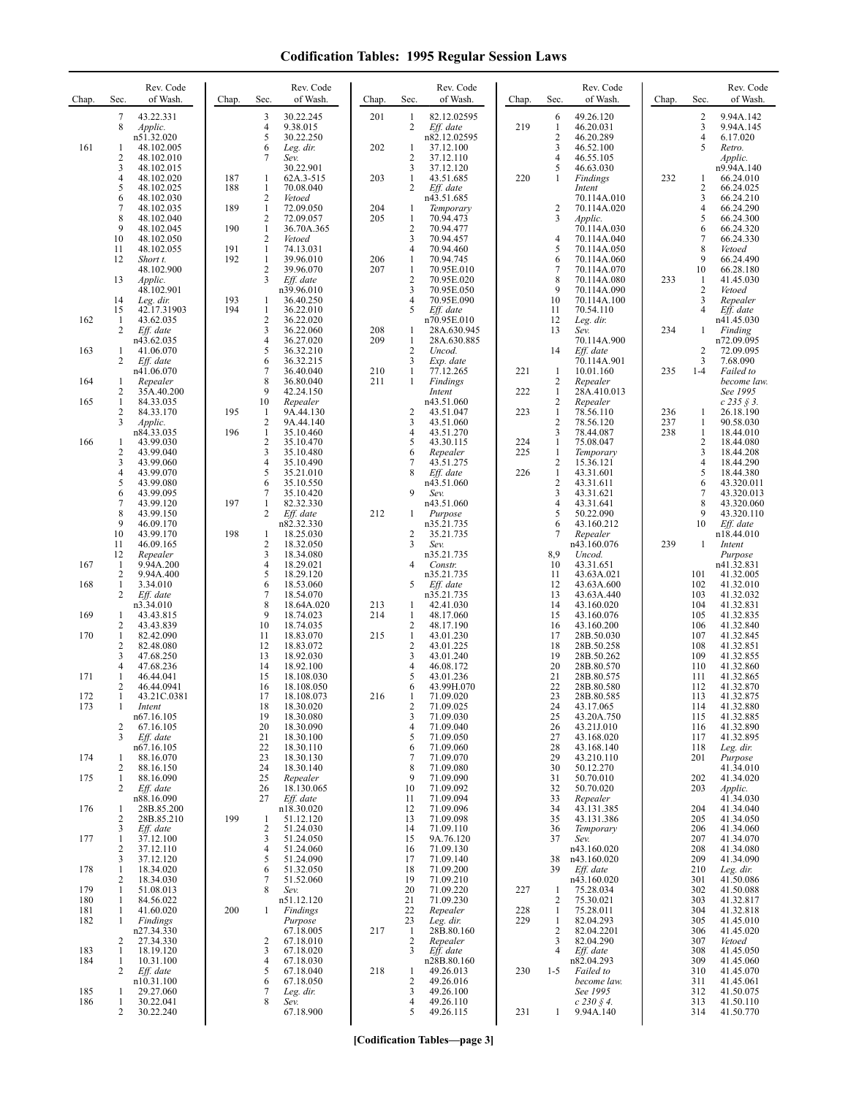| Chap.      | Sec.                           | Rev. Code<br>of Wash.        | Chap.      | Sec.                           | Rev. Code<br>of Wash.    | Chap.      | Sec.               | Rev. Code<br>of Wash.      | Chap.      | Sec.                           | Rev. Code<br>of Wash.      | Chap.      | Sec.                         | Rev. Code<br>of Wash.         |
|------------|--------------------------------|------------------------------|------------|--------------------------------|--------------------------|------------|--------------------|----------------------------|------------|--------------------------------|----------------------------|------------|------------------------------|-------------------------------|
|            | 7<br>8                         | 43.22.331<br>Applic.         |            | 3<br>$\overline{4}$            | 30.22.245<br>9.38.015    | 201        | 1<br>2             | 82.12.02595<br>Eff. date   | 219        | 6<br>1                         | 49.26.120<br>46.20.031     |            | $\overline{c}$<br>3          | 9.94A.142<br>9.94A.145        |
| 161        | 1                              | n51.32.020<br>48.102.005     |            | 5<br>6                         | 30.22.250<br>Leg. dir.   | 202        | 1                  | n82.12.02595<br>37.12.100  |            | $\sqrt{2}$<br>3                | 46.20.289<br>46.52.100     |            | 4<br>5                       | 6.17.020<br>Retro.            |
|            | $\overline{2}$                 | 48.102.010                   |            | 7                              | Sev.                     |            | 2                  | 37.12.110                  |            | $\overline{4}$                 | 46.55.105                  |            |                              | Applic.                       |
|            | 3<br>$\overline{4}$            | 48.102.015<br>48.102.020     | 187        | 1                              | 30.22.901<br>62A.3-515   | 203        | 3<br>1             | 37.12.120<br>43.51.685     | 220        | 5<br>1                         | 46.63.030<br>Findings      | 232        | 1                            | n9.94A.140<br>66.24.010       |
|            | 5<br>6                         | 48.102.025<br>48.102.030     | 188        | 1<br>$\mathbf{2}$              | 70.08.040<br>Vetoed      |            | 2                  | Eff. date<br>n43.51.685    |            |                                | Intent<br>70.114A.010      |            | 2<br>3                       | 66.24.025<br>66.24.210        |
|            | $\overline{7}$<br>8            | 48.102.035<br>48.102.040     | 189        | $\mathbf{1}$<br>$\overline{c}$ | 72.09.050<br>72.09.057   | 204<br>205 | 1<br>$\mathbf{1}$  | Temporary<br>70.94.473     |            | $\overline{c}$<br>3            | 70.114A.020<br>Applic.     |            | $\overline{\mathbf{4}}$<br>5 | 66.24.290<br>66.24.300        |
|            | 9<br>10                        | 48.102.045<br>48.102.050     | 190        | $\mathbf{1}$<br>2              | 36.70A.365<br>Vetoed     |            | 2<br>3             | 70.94.477<br>70.94.457     |            | $\overline{4}$                 | 70.114A.030<br>70.114A.040 |            | 6<br>7                       | 66.24.320<br>66.24.330        |
|            | 11<br>12                       | 48.102.055<br>Short t.       | 191<br>192 | $\mathbf{1}$<br>$\mathbf{1}$   | 74.13.031<br>39.96.010   | 206        | 4<br>$\mathbf{1}$  | 70.94.460<br>70.94.745     |            | 5<br>6                         | 70.114A.050<br>70.114A.060 |            | 8<br>9                       | Vetoed<br>66.24.490           |
|            | 13                             | 48.102.900<br><i>Applic.</i> |            | 2<br>3                         | 39.96.070<br>Eff. date   | 207        | $\mathbf{1}$<br>2  | 70.95E.010<br>70.95E.020   |            | 7<br>8                         | 70.114A.070<br>70.114A.080 | 233        | 10<br>1                      | 66.28.180<br>41.45.030        |
|            | 14                             | 48.102.901                   | 193        | 1                              | n39.96.010<br>36.40.250  |            | 3<br>4             | 70.95E.050<br>70.95E.090   |            | 9<br>10                        | 70.114A.090<br>70.114A.100 |            | 2<br>3                       | Vetoed<br>Repealer            |
|            | 15                             | Leg. dir.<br>42.17.31903     | 194        | $\mathbf{1}$                   | 36.22.010                |            | 5                  | Eff. date                  |            | 11                             | 70.54.110                  |            | 4                            | Eff. date                     |
| 162        | 1<br>2                         | 43.62.035<br>Eff. date       |            | $\overline{c}$<br>3            | 36.22.020<br>36.22.060   | 208        | 1                  | n70.95E.010<br>28A.630.945 |            | 12<br>13                       | Leg. dir.<br>Sev.          | 234        | 1                            | n41.45.030<br>Finding         |
| 163        | $\mathbf{1}$                   | n43.62.035<br>41.06.070      |            | 4<br>5                         | 36.27.020<br>36.32.210   | 209        | 1<br>2             | 28A.630.885<br>Uncod.      |            | 14                             | 70.114A.900<br>$Eff.$ date |            | 2                            | n72.09.095<br>72.09.095       |
|            | 2                              | Eff. date<br>n41.06.070      |            | 6<br>7                         | 36.32.215<br>36.40.040   | 210        | 3<br>1             | Exp. date<br>77.12.265     | 221        | 1                              | 70.114A.901<br>10.01.160   | 235        | 3<br>$1 - 4$                 | 7.68.090<br>Failed to         |
| 164        | 1<br>2                         | Repealer<br>35A.40.200       |            | 8<br>9                         | 36.80.040<br>42.24.150   | 211        | 1                  | Findings<br>Intent         | 222        | $\overline{c}$<br>$\mathbf{1}$ | Repealer<br>28A.410.013    |            |                              | become law.<br>See 1995       |
| 165        | $\mathbf{1}$<br>$\overline{c}$ | 84.33.035<br>84.33.170       | 195        | 10<br>-1                       | Repealer<br>9A.44.130    |            | 2                  | n43.51.060<br>43.51.047    | 223        | $\overline{c}$<br>$\mathbf{1}$ | Repealer<br>78.56.110      | 236        | 1                            | $c\,235\,\S\,3.$<br>26.18.190 |
|            | 3                              | Applic.<br>n84.33.035        | 196        | $\overline{c}$<br>$\mathbf{1}$ | 9A.44.140<br>35.10.460   |            | 3<br>4             | 43.51.060<br>43.51.270     |            | $\overline{2}$<br>3            | 78.56.120<br>78.44.087     | 237<br>238 | 1<br>1                       | 90.58.030<br>18.44.010        |
| 166        | 1<br>$\overline{2}$            | 43.99.030<br>43.99.040       |            | 2<br>3                         | 35.10.470<br>35.10.480   |            | 5<br>6             | 43.30.115<br>Repealer      | 224<br>225 | $\mathbf{1}$<br>1              | 75.08.047<br>Temporary     |            | 2<br>3                       | 18.44.080<br>18.44.208        |
|            | 3                              | 43.99.060                    |            | 4                              | 35.10.490                |            |                    | 43.51.275                  |            | 2                              | 15.36.121                  |            | 4                            | 18.44.290                     |
|            | $\overline{4}$<br>5            | 43.99.070<br>43.99.080       |            | 5<br>6                         | 35.21.010<br>35.10.550   |            | 8                  | Eff. date<br>n43.51.060    | 226        | $\mathbf{1}$<br>$\overline{2}$ | 43.31.601<br>43.31.611     |            | 5<br>6                       | 18.44.380<br>43.320.011       |
|            | 6<br>$\tau$                    | 43.99.095<br>43.99.120       | 197        | 7<br>1                         | 35.10.420<br>82.32.330   |            | 9                  | Sev.<br>n43.51.060         |            | 3<br>$\overline{4}$            | 43.31.621<br>43.31.641     |            | 7<br>8                       | 43.320.013<br>43.320.060      |
|            | 8<br>9                         | 43.99.150<br>46.09.170       |            | $\overline{2}$                 | Eff. date<br>n82.32.330  | 212        | 1                  | Purpose<br>n35.21.735      |            | 5<br>6                         | 50.22.090<br>43.160.212    |            | 9<br>10                      | 43.320.110<br>Eff. date       |
|            | 10<br>11                       | 43.99.170<br>46.09.165       | 198        | 1<br>2                         | 18.25.030<br>18.32.050   |            | 2<br>3             | 35.21.735<br>Sev.          |            | 7                              | Repealer<br>n43.160.076    | 239        | $\mathbf{1}$                 | n18.44.010<br>Intent          |
| 167        | 12<br>1                        | Repealer<br>9.94A.200        |            | 3<br>4                         | 18.34.080<br>18.29.021   |            | 4                  | n35.21.735<br>Constr.      |            | 8,9<br>10                      | Uncod.<br>43.31.651        |            |                              | Purpose<br>n41.32.831         |
| 168        | $\overline{2}$<br>$\mathbf{1}$ | 9.94A.400<br>3.34.010        |            | 5<br>6                         | 18.29.120<br>18.53.060   |            | 5                  | n35.21.735<br>Eff. date    |            | 11<br>12                       | 43.63A.021<br>43.63A.600   |            | 101<br>102                   | 41.32.005<br>41.32.010        |
|            | 2                              | Eff. date<br>n3.34.010       |            | $\overline{7}$<br>8            | 18.54.070<br>18.64A.020  | 213        | 1                  | n35.21.735<br>42.41.030    |            | 13<br>14                       | 43.63A.440<br>43.160.020   |            | 103<br>104                   | 41.32.032<br>41.32.831        |
| 169        | 1<br>2                         | 43.43.815<br>43.43.839       |            | 9<br>10                        | 18.74.023<br>18.74.035   | 214        | 1<br>2             | 48.17.060<br>48.17.190     |            | 15<br>16                       | 43.160.076<br>43.160.200   |            | 105<br>106                   | 41.32.835<br>41.32.840        |
| 170        | $\mathbf{1}$                   | 82.42.090                    |            | 11                             | 18.83.070                | 215        | $\mathbf{1}$       | 43.01.230                  |            | 17                             | 28B.50.030                 |            | 107                          | 41.32.845                     |
|            | $\overline{2}$<br>3            | 82.48.080<br>47.68.250       |            | 12<br>13                       | 18.83.072<br>18.92.030   |            | 2<br>3             | 43.01.225<br>43.01.240     |            | 18<br>19                       | 28B.50.258<br>28B.50.262   |            | 108<br>109                   | 41.32.851<br>41.32.855        |
| 171        | $\overline{4}$<br>1            | 47.68.236<br>46.44.041       |            | 14<br>15                       | 18.92.100<br>18.108.030  |            | 4<br>5             | 46.08.172<br>43.01.236     |            | 20<br>21                       | 28B.80.570<br>28B.80.575   |            | 110<br>111                   | 41.32.860<br>41.32.865        |
| 172        | 2                              | 46.44.0941<br>43.21C.0381    |            | 16<br>17                       | 18.108.050<br>18.108.073 | 216        | 6                  | 43.99H.070<br>71.09.020    |            | 22<br>23                       | 28B.80.580<br>28B.80.585   |            | 112<br>113                   | 41.32.870<br>41.32.875        |
| 173        | 1                              | Intent<br>n67.16.105         |            | 18<br>19                       | 18.30.020<br>18.30.080   |            | 2<br>3             | 71.09.025<br>71.09.030     |            | 24<br>25                       | 43.17.065<br>43.20A.750    |            | 114<br>115                   | 41.32.880<br>41.32.885        |
|            | 2<br>3                         | 67.16.105<br>Eff. date       |            | 20<br>21                       | 18.30.090<br>18.30.100   |            | 4<br>5             | 71.09.040<br>71.09.050     |            | 26<br>27                       | 43.21J.010<br>43.168.020   |            | 116<br>117                   | 41.32.890<br>41.32.895        |
| 174        | 1                              | n67.16.105<br>88.16.070      |            | 22<br>23                       | 18.30.110<br>18.30.130   |            | 6<br>7             | 71.09.060<br>71.09.070     |            | 28<br>29                       | 43.168.140<br>43.210.110   |            | 118<br>201                   | Leg. dir.<br>Purpose          |
| 175        | 2<br>1                         | 88.16.150<br>88.16.090       |            | 24<br>25                       | 18.30.140<br>Repealer    |            | 8<br>9             | 71.09.080<br>71.09.090     |            | 30<br>31                       | 50.12.270<br>50.70.010     |            | 202                          | 41.34.010<br>41.34.020        |
|            | 2                              | Eff. date<br>n88.16.090      |            | 26<br>27                       | 18.130.065<br>Eff. date  |            | 10<br>11           | 71.09.092<br>71.09.094     |            | 32<br>33                       | 50.70.020<br>Repealer      |            | 203                          | Applic.<br>41.34.030          |
| 176        | 1<br>2                         | 28B.85.200<br>28B.85.210     | 199        | 1                              | n18.30.020<br>51.12.120  |            | 12<br>13           | 71.09.096<br>71.09.098     |            | 34<br>35                       | 43.131.385<br>43.131.386   |            | 204<br>205                   | 41.34.040                     |
|            | 3                              | Eff. date                    |            | $\overline{c}$                 | 51.24.030                |            | 14                 | 71.09.110                  |            | 36                             | Temporary                  |            | 206                          | 41.34.050<br>41.34.060        |
| 177        | 1<br>2                         | 37.12.100<br>37.12.110       |            | 3<br>4                         | 51.24.050<br>51.24.060   |            | 15<br>16           | 9A.76.120<br>71.09.130     |            | 37                             | Sev.<br>n43.160.020        |            | 207<br>208                   | 41.34.070<br>41.34.080        |
| 178        | 3<br>1                         | 37.12.120<br>18.34.020       |            | 5<br>6                         | 51.24.090<br>51.32.050   |            | 17<br>18           | 71.09.140<br>71.09.200     |            | 38<br>39                       | n43.160.020<br>Eff. date   |            | 209<br>210                   | 41.34.090<br>Leg. dir.        |
| 179        | $\overline{2}$<br>1            | 18.34.030<br>51.08.013       |            | 7<br>8                         | 51.52.060<br>Sev.        |            | 19<br>20           | 71.09.210<br>71.09.220     | 227        | 1                              | n43.160.020<br>75.28.034   |            | 301<br>302                   | 41.50.086<br>41.50.088        |
| 180<br>181 | 1<br>1                         | 84.56.022<br>41.60.020       | 200        | 1                              | n51.12.120<br>Findings   |            | 21<br>22           | 71.09.230<br>Repealer      | 228        | 2<br>$\mathbf{1}$              | 75.30.021<br>75.28.011     |            | 303<br>304                   | 41.32.817<br>41.32.818        |
| 182        | 1                              | Findings<br>n27.34.330       |            |                                | Purpose<br>67.18.005     | 217        | 23<br>$\mathbf{1}$ | Leg. dir.<br>28B.80.160    | 229        | 1<br>$\overline{2}$            | 82.04.293<br>82.04.2201    |            | 305<br>306                   | 41.45.010<br>41.45.020        |
| 183        | 2<br>1                         | 27.34.330<br>18.19.120       |            | 2<br>3                         | 67.18.010<br>67.18.020   |            | 2<br>3             | Repealer<br>Eff. date      |            | 3<br>$\overline{4}$            | 82.04.290<br>Eff. date     |            | 307<br>308                   | Vetoed<br>41.45.050           |
| 184        | 1<br>2                         | 10.31.100<br>Eff. date       |            | 4<br>5                         | 67.18.030<br>67.18.040   | 218        | 1                  | n28B.80.160<br>49.26.013   | 230        | $1 - 5$                        | n82.04.293<br>Failed to    |            | 309<br>310                   | 41.45.060<br>41.45.070        |
|            |                                | n10.31.100                   |            | 6                              | 67.18.050                |            | 2                  | 49.26.016                  |            |                                | become law.                |            | 311                          | 41.45.061                     |
| 185<br>186 | 1<br>$\mathbf{1}$              | 29.27.060<br>30.22.041       |            | 7<br>8                         | Leg. dir.<br>Sev.        |            | 3<br>4             | 49.26.100<br>49.26.110     |            |                                | See 1995<br>$c$ 230 § 4.   |            | 312<br>313                   | 41.50.075<br>41.50.110        |
|            | 2                              | 30.22.240                    |            |                                | 67.18.900                |            | 5                  | 49.26.115                  | 231        | 1                              | 9.94A.140                  |            | 314                          | 41.50.770                     |

**[Codification Tables—page 3]**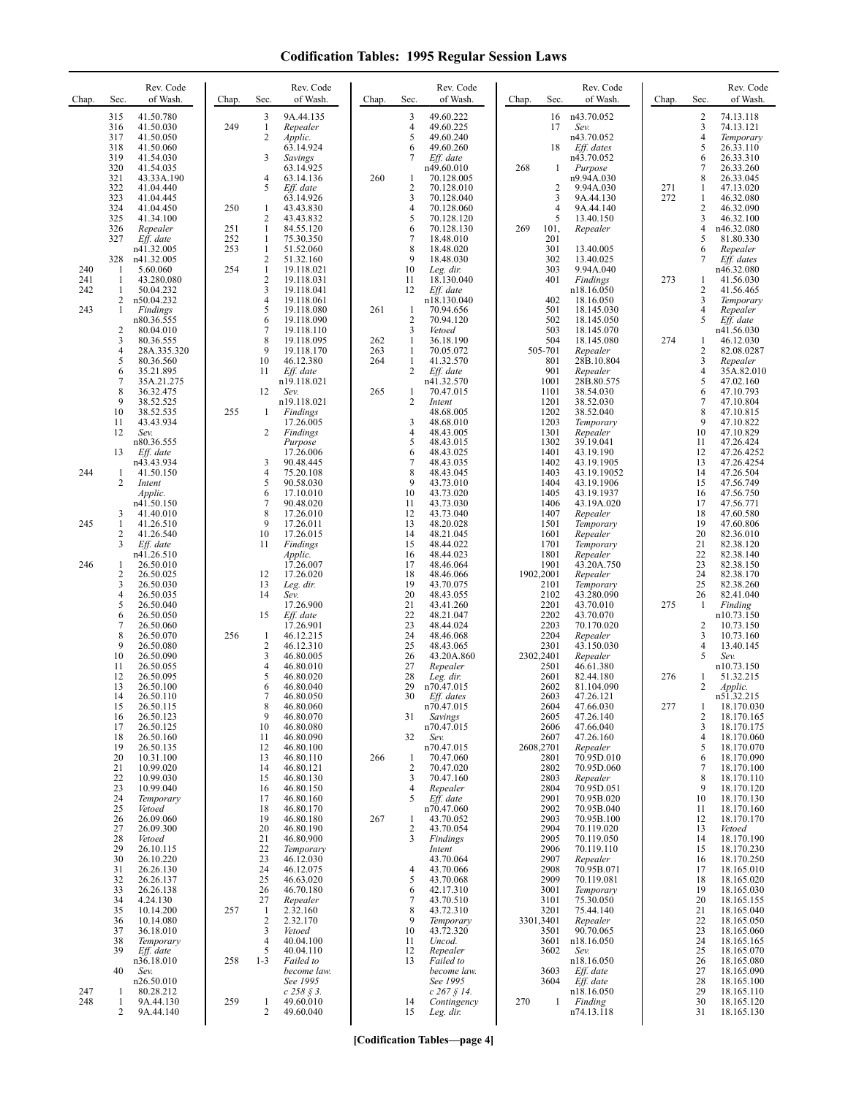| Chap.                    | Rev. Code<br>Sec.<br>of Wash.                                                                                                                                                                                                                                                          | Chap.             | Rev. Code<br>of Wash.<br>Sec.                                                                                                                                                                                                                                                            | Chap.                    | Sec.                                                                                              | Rev. Code<br>of Wash.                                                                                                                                                                        | Sec.<br>Chap.                                                                                                             | Rev. Code<br>of Wash.                                                                                                                                                                               | Chap.      | Sec.                                                                                      | Rev. Code<br>of Wash.                                                                                                                                                                                      |
|--------------------------|----------------------------------------------------------------------------------------------------------------------------------------------------------------------------------------------------------------------------------------------------------------------------------------|-------------------|------------------------------------------------------------------------------------------------------------------------------------------------------------------------------------------------------------------------------------------------------------------------------------------|--------------------------|---------------------------------------------------------------------------------------------------|----------------------------------------------------------------------------------------------------------------------------------------------------------------------------------------------|---------------------------------------------------------------------------------------------------------------------------|-----------------------------------------------------------------------------------------------------------------------------------------------------------------------------------------------------|------------|-------------------------------------------------------------------------------------------|------------------------------------------------------------------------------------------------------------------------------------------------------------------------------------------------------------|
|                          | 315<br>41.50.780<br>316<br>41.50.030<br>317<br>41.50.050<br>318<br>41.50.060<br>319<br>41.54.030<br>320<br>41.54.035<br>321<br>43.33A.190<br>322<br>41.04.440<br>323<br>41.04.445<br>324<br>41.04.450<br>325<br>41.34.100<br>326<br>Repealer                                           | 249<br>250<br>251 | 3<br>9A.44.135<br>$\mathbf{1}$<br>Repealer<br>2<br>Applic.<br>63.14.924<br>3<br>Savings<br>63.14.925<br>4<br>63.14.136<br>5<br>Eff. date<br>63.14.926<br>43.43.830<br>1<br>$\overline{2}$<br>43.43.832<br>1<br>84.55.120                                                                 | 260                      | 3<br>4<br>5<br>6<br>7<br>1<br>2<br>3<br>$\overline{4}$<br>5<br>6                                  | 49.60.222<br>49.60.225<br>49.60.240<br>49.60.260<br>Eff. date<br>n49.60.010<br>70.128.005<br>70.128.010<br>70.128.040<br>70.128.060<br>70.128.120<br>70.128.130                              | 16<br>17<br>18<br>268<br>$\mathbf{1}$<br>2<br>3<br>$\overline{4}$<br>5<br>269<br>101,                                     | n43.70.052<br>Sev.<br>n43.70.052<br>Eff. dates<br>n43.70.052<br>Purpose<br>n9.94A.030<br>9.94A.030<br>9A.44.130<br>9A.44.140<br>13.40.150<br>Repealer                                               | 271<br>272 | $\sqrt{2}$<br>3<br>4<br>5<br>6<br>7<br>8<br>1<br>1<br>$\overline{c}$<br>3<br>4            | 74.13.118<br>74.13.121<br>Temporary<br>26.33.110<br>26.33.310<br>26.33.260<br>26.33.045<br>47.13.020<br>46.32.080<br>46.32.090<br>46.32.100<br>n46.32.080                                                  |
| 240<br>241<br>242<br>243 | 327<br>Eff. date<br>n41.32.005<br>328<br>n41.32.005<br>1<br>5.60.060<br>43.280.080<br>1<br>1<br>50.04.232<br>2<br>n50.04.232<br>Findings<br>1                                                                                                                                          | 252<br>253<br>254 | $\mathbf{1}$<br>75.30.350<br>$\mathbf{1}$<br>51.52.060<br>2<br>51.32.160<br>$\mathbf{1}$<br>19.118.021<br>2<br>19.118.031<br>3<br>19.118.041<br>$\overline{4}$<br>19.118.061<br>5<br>19.118.080                                                                                          | 261                      | $\overline{7}$<br>8<br>9<br>10<br>11<br>12<br>1                                                   | 18.48.010<br>18.48.020<br>18.48.030<br>Leg. dir.<br>18.130.040<br>Eff. date<br>n18.130.040<br>70.94.656                                                                                      | 201<br>301<br>302<br>303<br>401<br>402<br>501                                                                             | 13.40.005<br>13.40.025<br>9.94A.040<br>Findings<br>n18.16.050<br>18.16.050<br>18.145.030                                                                                                            | 273        | 5<br>6<br>7<br>1<br>$\sqrt{2}$<br>3<br>4                                                  | 81.80.330<br>Repealer<br>Eff. dates<br>n46.32.080<br>41.56.030<br>41.56.465<br>Temporary<br>Repealer                                                                                                       |
|                          | n80.36.555<br>$\overline{2}$<br>80.04.010<br>3<br>80.36.555<br>$\overline{4}$<br>28A.335.320<br>5<br>80.36.560<br>6<br>35.21.895<br>$\sqrt{ }$<br>35A.21.275<br>8<br>36.32.475<br>9<br>38.52.525<br>10<br>38.52.535<br>43.43.934<br>11<br>12<br>Sev.<br>n80.36.555                     | 255               | 6<br>19.118.090<br>7<br>19.118.110<br>8<br>19.118.095<br>9<br>19.118.170<br>10<br>46.12.380<br>11<br>Eff. date<br>n19.118.021<br>12<br>Sev.<br>n19.118.021<br>Findings<br>1<br>17.26.005<br>2<br>Findings<br>Purpose                                                                     | 262<br>263<br>264<br>265 | $\overline{2}$<br>3<br>$\mathbf{1}$<br>$\mathbf{1}$<br>$\mathbf{1}$<br>2<br>1<br>2<br>3<br>4<br>5 | 70.94.120<br>Vetoed<br>36.18.190<br>70.05.072<br>41.32.570<br>Eff. date<br>n41.32.570<br>70.47.015<br>Intent<br>48.68.005<br>48.68.010<br>48.43.005<br>48.43.015                             | 502<br>503<br>504<br>505-701<br>801<br>901<br>1001<br>1101<br>1201<br>1202<br>1203<br>1301<br>1302                        | 18.145.050<br>18.145.070<br>18.145.080<br>Repealer<br>28B.10.804<br>Repealer<br>28B.80.575<br>38.54.030<br>38.52.030<br>38.52.040<br>Temporary<br>Repealer<br>39.19.041                             | 274        | 5<br>1<br>2<br>3<br>4<br>5<br>6<br>7<br>8<br>9<br>10<br>11                                | Eff. date<br>n41.56.030<br>46.12.030<br>82.08.0287<br>Repealer<br>35A.82.010<br>47.02.160<br>47.10.793<br>47.10.804<br>47.10.815<br>47.10.822<br>47.10.829<br>47.26.424                                    |
| 244                      | 13<br>Eff. date<br>n43.43.934<br>41.50.150<br>1<br>2<br>Intent<br>Applic.<br>n41.50.150                                                                                                                                                                                                |                   | 17.26.006<br>3<br>90.48.445<br>$\overline{4}$<br>75.20.108<br>5<br>90.58.030<br>6<br>17.10.010<br>$\overline{7}$<br>90.48.020                                                                                                                                                            |                          | 6<br>7<br>8<br>9<br>10<br>11                                                                      | 48.43.025<br>48.43.035<br>48.43.045<br>43.73.010<br>43.73.020<br>43.73.030                                                                                                                   | 1401<br>1402<br>1403<br>1404<br>1405<br>1406                                                                              | 43.19.190<br>43.19.1905<br>43.19.19052<br>43.19.1906<br>43.19.1937<br>43.19A.020                                                                                                                    |            | 12<br>13<br>14<br>15<br>16<br>17                                                          | 47.26.4252<br>47.26.4254<br>47.26.504<br>47.56.749<br>47.56.750<br>47.56.771                                                                                                                               |
| 245                      | 3<br>41.40.010<br>1<br>41.26.510<br>2<br>41.26.540<br>3<br>Eff. date<br>n41.26.510                                                                                                                                                                                                     |                   | 8<br>17.26.010<br>9<br>17.26.011<br>10<br>17.26.015<br>11<br>Findings<br>Applic.                                                                                                                                                                                                         |                          | 12<br>13<br>14<br>15<br>16                                                                        | 43.73.040<br>48.20.028<br>48.21.045<br>48.44.022<br>48.44.023                                                                                                                                | 1407<br>1501<br>1601<br>1701<br>1801                                                                                      | Repealer<br>Temporary<br>Repealer<br>Temporary<br>Repealer                                                                                                                                          |            | 18<br>19<br>20<br>21<br>22                                                                | 47.60.580<br>47.60.806<br>82.36.010<br>82.38.120<br>82.38.140                                                                                                                                              |
| 246                      | 26.50.010<br>1<br>$\overline{c}$<br>26.50.025<br>3<br>26.50.030<br>$\overline{4}$<br>26.50.035<br>5<br>26.50.040<br>6<br>26.50.050<br>$\tau$<br>26.50.060<br>8<br>26.50.070<br>9<br>26.50.080<br>10<br>26.50.090                                                                       | 256               | 17.26.007<br>17.26.020<br>12<br>13<br>Leg. dir.<br>14<br>Sev.<br>17.26.900<br>15<br>Eff. date<br>17.26.901<br>$\mathbf{1}$<br>46.12.215<br>2<br>46.12.310<br>3<br>46.80.005                                                                                                              |                          | 17<br>18<br>19<br>20<br>21<br>22<br>23<br>24<br>25<br>26                                          | 48.46.064<br>48.46.066<br>43.70.075<br>48.43.055<br>43.41.260<br>48.21.047<br>48.44.024<br>48.46.068<br>48.43.065<br>43.20A.860                                                              | 1901<br>1902,2001<br>2101<br>2102<br>2201<br>2202<br>2203<br>2204<br>2301<br>2302,2401                                    | 43.20A.750<br>Repealer<br>Temporary<br>43.280.090<br>43.70.010<br>43.70.070<br>70.170.020<br>Repealer<br>43.150.030<br>Repealer                                                                     | 275        | 23<br>24<br>25<br>26<br>-1<br>2<br>3<br>$\overline{4}$<br>5                               | 82.38.150<br>82.38.170<br>82.38.260<br>82.41.040<br>Finding<br>n10.73.150<br>10.73.150<br>10.73.160<br>13.40.145<br>Sev.                                                                                   |
|                          | 11<br>26.50.055<br>12<br>26.50.095<br>13<br>26.50.100<br>14<br>26.50.110<br>15<br>26.50.115<br>26.50.123<br>16<br>17<br>26.50.125<br>26.50.160<br>18<br>19<br>26.50.135<br>20<br>10.31.100<br>21<br>10.99.020<br>22<br>10.99.030<br>23<br>10.99.040<br>24<br>Temporary<br>25<br>Vetoed |                   | 4<br>46.80.010<br>5<br>46.80.020<br>6<br>46.80.040<br>46.80.050<br>$\,$ 8 $\,$<br>46.80.060<br>9<br>46.80.070<br>10<br>46.80.080<br>11<br>46.80.090<br>46.80.100<br>12<br>46.80.110<br>13<br>14<br>46.80.121<br>15<br>46.80.130<br>16<br>46.80.150<br>17<br>46.80.160<br>18<br>46.80.170 | 266                      | 27<br>28<br>29<br>30<br>31<br>32<br>$\mathbf{1}$<br>$\overline{2}$<br>3<br>4<br>5                 | Repealer<br>Leg. dir.<br>n70.47.015<br>Eff. dates<br>n70.47.015<br>Savings<br>n70.47.015<br>Sev.<br>n70.47.015<br>70.47.060<br>70.47.020<br>70.47.160<br>Repealer<br>Eff. date<br>n70.47.060 | 2501<br>2601<br>2602<br>2603<br>2604<br>2605<br>2606<br>2607<br>2608,2701<br>2801<br>2802<br>2803<br>2804<br>2901<br>2902 | 46.61.380<br>82.44.180<br>81.104.090<br>47.26.121<br>47.66.030<br>47.26.140<br>47.66.040<br>47.26.160<br>Repealer<br>70.95D.010<br>70.95D.060<br>Repealer<br>70.95D.051<br>70.95B.020<br>70.95B.040 | 276<br>277 | 1<br>2<br>1<br>$\overline{2}$<br>3<br>$\overline{4}$<br>5<br>6<br>7<br>8<br>9<br>10<br>11 | n10.73.150<br>51.32.215<br>Applic.<br>n51.32.215<br>18.170.030<br>18.170.165<br>18.170.175<br>18.170.060<br>18.170.070<br>18.170.090<br>18.170.100<br>18.170.110<br>18.170.120<br>18.170.130<br>18.170.160 |
|                          | 26<br>26.09.060<br>27<br>26.09.300<br>28<br>Vetoed<br>29<br>26.10.115<br>30<br>26.10.220<br>31<br>26.26.130<br>32<br>26.26.137<br>33<br>26.26.138<br>34<br>4.24.130<br>35<br>10.14.200<br>10.14.080<br>36<br>37<br>36.18.010<br>38<br>Temporary<br>39<br>Eff. date                     | 257               | 19<br>46.80.180<br>20<br>46.80.190<br>21<br>46.80.900<br>22<br>Temporary<br>23<br>46.12.030<br>24<br>46.12.075<br>25<br>46.63.020<br>26<br>46.70.180<br>27<br>Repealer<br>2.32.160<br>-1<br>$\sqrt{2}$<br>2.32.170<br>3<br>Vetoed<br>$\overline{4}$<br>40.04.100<br>5<br>40.04.110       | 267                      | 1<br>$\overline{c}$<br>3<br>4<br>5<br>6<br>7<br>8<br>9<br>10<br>11<br>12                          | 43.70.052<br>43.70.054<br>Findings<br>Intent<br>43.70.064<br>43.70.066<br>43.70.068<br>42.17.310<br>43.70.510<br>43.72.310<br>Temporary<br>43.72.320<br>Uncod.<br>Repealer                   | 2903<br>2904<br>2905<br>2906<br>2907<br>2908<br>2909<br>3001<br>3101<br>3201<br>3301,3401<br>3501<br>3601<br>3602         | 70.95B.100<br>70.119.020<br>70.119.050<br>70.119.110<br>Repealer<br>70.95B.071<br>70.119.081<br>Temporary<br>75.30.050<br>75.44.140<br>Repealer<br>90.70.065<br>n18.16.050<br>Sev.                  |            | 12<br>13<br>14<br>15<br>16<br>17<br>18<br>19<br>20<br>21<br>22<br>23<br>24<br>25          | 18.170.170<br>Vetoed<br>18.170.190<br>18.170.230<br>18.170.250<br>18.165.010<br>18.165.020<br>18.165.030<br>18.165.155<br>18.165.040<br>18.165.050<br>18.165.060<br>18.165.165<br>18.165.070               |
| 247<br>248               | n36.18.010<br>40<br>Sev.<br>n26.50.010<br>80.28.212<br>1<br>1<br>9A.44.130<br>2<br>9A.44.140                                                                                                                                                                                           | 258<br>259        | $1 - 3$<br>Failed to<br>become law.<br>See 1995<br>$c\;258\;$ § 3.<br>49.60.010<br>1<br>$\overline{2}$<br>49.60.040                                                                                                                                                                      |                          | 13<br>14<br>15                                                                                    | Failed to<br>become law.<br>See 1995<br>$c$ 267 $§$ 14.<br>Contingency<br>Leg. dir.                                                                                                          | 3603<br>3604<br>270<br>1                                                                                                  | n18.16.050<br>Eff. date<br>Eff. date<br>n18.16.050<br>Finding<br>n74.13.118                                                                                                                         |            | 26<br>27<br>28<br>29<br>30<br>31                                                          | 18.165.080<br>18.165.090<br>18.165.100<br>18.165.110<br>18.165.120<br>18.165.130                                                                                                                           |

**[Codification Tables—page 4]**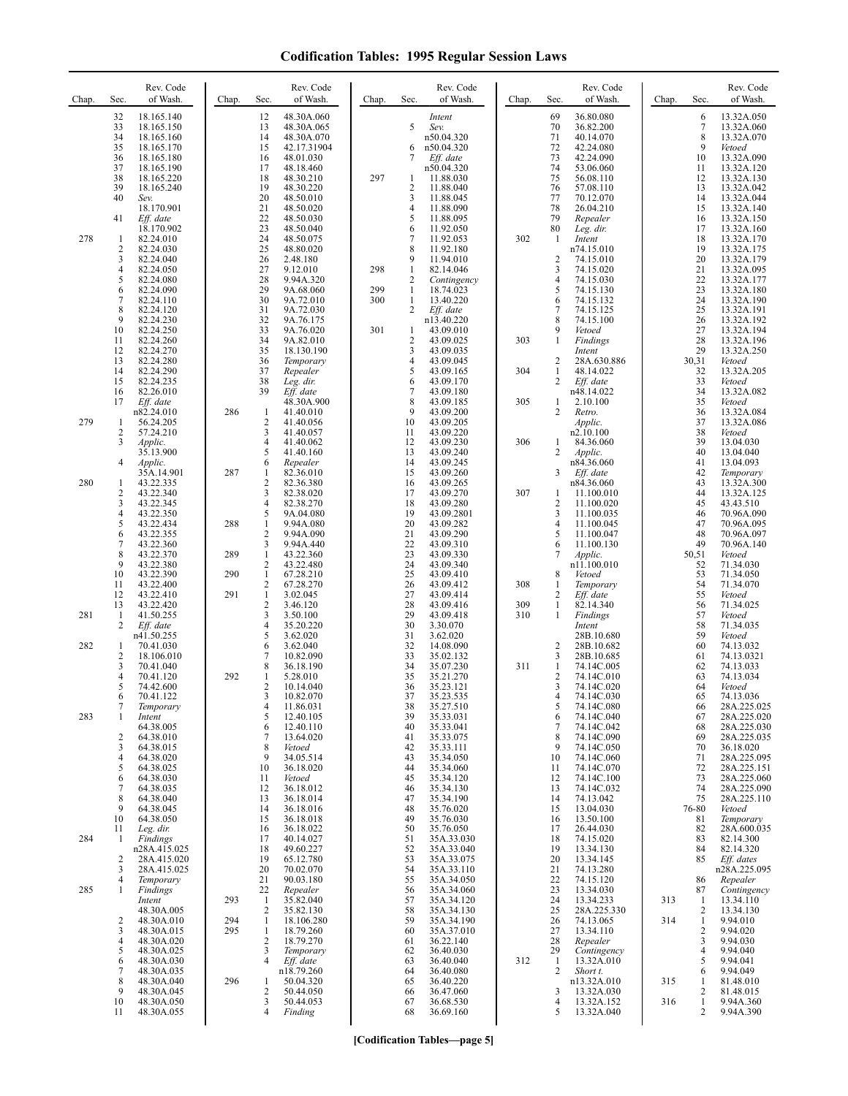| Chap. | Sec.                    | Rev. Code<br>of Wash.      | Chap. | Sec.                           | Rev. Code<br>of Wash.    | Chap.      | Sec.                         | Rev. Code<br>of Wash.    | Chap.      | Sec.                 | Rev. Code<br>of Wash.     | Chap. | Sec.              | Rev. Code<br>of Wash.      |
|-------|-------------------------|----------------------------|-------|--------------------------------|--------------------------|------------|------------------------------|--------------------------|------------|----------------------|---------------------------|-------|-------------------|----------------------------|
|       | 32<br>33                | 18.165.140<br>18.165.150   |       | 12                             | 48.30A.060               |            | 5                            | Intent                   |            | 69<br>70             | 36.80.080<br>36.82.200    |       | 6<br>7            | 13.32A.050<br>13.32A.060   |
|       | 34                      | 18.165.160                 |       | 13<br>14                       | 48.30A.065<br>48.30A.070 |            |                              | Sev.<br>n50.04.320       |            | 71                   | 40.14.070                 |       | 8                 | 13.32A.070                 |
|       | 35<br>36                | 18.165.170<br>18.165.180   |       | 15<br>16                       | 42.17.31904<br>48.01.030 |            | 6<br>7                       | n50.04.320<br>Eff. date  |            | 72<br>73             | 42.24.080<br>42.24.090    |       | 9<br>10           | Vetoed<br>13.32A.090       |
|       | 37                      | 18.165.190                 |       | 17                             | 48.18.460                |            |                              | n50.04.320               |            | 74                   | 53.06.060                 |       | 11                | 13.32A.120                 |
|       | 38<br>39                | 18.165.220<br>18.165.240   |       | 18<br>19                       | 48.30.210<br>48.30.220   | 297        | 1<br>2                       | 11.88.030<br>11.88.040   |            | 75<br>76             | 56.08.110<br>57.08.110    |       | 12<br>13          | 13.32A.130<br>13.32A.042   |
|       | 40                      | Sev.                       |       | 20                             | 48.50.010                |            | 3                            | 11.88.045                |            | 77                   | 70.12.070                 |       | 14                | 13.32A.044                 |
|       | 41                      | 18.170.901<br>Eff. date    |       | 21<br>22                       | 48.50.020<br>48.50.030   |            | 4<br>5                       | 11.88.090<br>11.88.095   |            | 78<br>79             | 26.04.210<br>Repealer     |       | 15<br>16          | 13.32A.140<br>13.32A.150   |
|       |                         | 18.170.902                 |       | 23                             | 48.50.040                |            | 6                            | 11.92.050                |            | 80                   | Leg. dir.                 |       | 17                | 13.32A.160                 |
| 278   | 1<br>$\sqrt{2}$         | 82.24.010<br>82.24.030     |       | 24<br>25                       | 48.50.075<br>48.80.020   |            | 7<br>8                       | 11.92.053<br>11.92.180   | 302        | 1                    | Intent<br>n74.15.010      |       | 18<br>19          | 13.32A.170<br>13.32A.175   |
|       | 3<br>$\overline{4}$     | 82.24.040<br>82.24.050     |       | 26<br>27                       | 2.48.180<br>9.12.010     | 298        | 9<br>$\mathbf{1}$            | 11.94.010<br>82.14.046   |            | $\overline{2}$<br>3  | 74.15.010<br>74.15.020    |       | 20<br>21          | 13.32A.179<br>13.32A.095   |
|       | 5                       | 82.24.080                  |       | 28                             | 9.94A.320                |            | 2                            | Contingency              |            | $\overline{4}$       | 74.15.030                 |       | 22                | 13.32A.177                 |
|       | 6<br>7                  | 82.24.090<br>82.24.110     |       | 29<br>30                       | 9A.68.060<br>9A.72.010   | 299<br>300 | $\mathbf{1}$<br>$\mathbf{1}$ | 18.74.023<br>13.40.220   |            | 5<br>6               | 74.15.130<br>74.15.132    |       | 23<br>24          | 13.32A.180<br>13.32A.190   |
|       | 8<br>9                  | 82.24.120<br>82.24.230     |       | 31<br>32                       | 9A.72.030<br>9A.76.175   |            | 2                            | Eff. date<br>n13.40.220  |            | $\overline{7}$<br>8  | 74.15.125<br>74.15.100    |       | 25<br>26          | 13.32A.191<br>13.32A.192   |
|       | 10                      | 82.24.250                  |       | 33                             | 9A.76.020                | 301        | 1                            | 43.09.010                |            | 9                    | Vetoed                    |       | 27                | 13.32A.194                 |
|       | 11<br>12                | 82.24.260<br>82.24.270     |       | 34<br>35                       | 9A.82.010<br>18.130.190  |            | 2<br>3                       | 43.09.025<br>43.09.035   | 303        | $\mathbf{1}$         | Findings<br>Intent        |       | 28<br>29          | 13.32A.196<br>13.32A.250   |
|       | 13                      | 82.24.280                  |       | 36                             | Temporary                |            | 4                            | 43.09.045                |            | 2<br>$\mathbf{1}$    | 28A.630.886               |       | 30,31             | Vetoed                     |
|       | 14<br>15                | 82.24.290<br>82.24.235     |       | 37<br>38                       | Repealer<br>Leg. dir.    |            | 5<br>6                       | 43.09.165<br>43.09.170   | 304        | 2                    | 48.14.022<br>Eff. date    |       | 32<br>33          | 13.32A.205<br>Vetoed       |
|       | 16<br>17                | 82.26.010<br>Eff. date     |       | 39                             | Eff. date<br>48.30A.900  |            | 7<br>8                       | 43.09.180<br>43.09.185   | 305        | $\mathbf{1}$         | n48.14.022<br>2.10.100    |       | 34<br>35          | 13.32A.082<br>Vetoed       |
|       |                         | n82.24.010                 | 286   | 1                              | 41.40.010                |            | 9                            | 43.09.200                |            | 2                    | Retro.                    |       | 36                | 13.32A.084                 |
| 279   | 1<br>2                  | 56.24.205<br>57.24.210     |       | 2<br>3                         | 41.40.056<br>41.40.057   |            | 10<br>11                     | 43.09.205<br>43.09.220   |            |                      | Applic.<br>n2.10.100      |       | 37<br>38          | 13.32A.086<br>Vetoed       |
|       | 3                       | Applic.<br>35.13.900       |       | 4<br>5                         | 41.40.062<br>41.40.160   |            | 12<br>13                     | 43.09.230<br>43.09.240   | 306        | 1<br>$\overline{c}$  | 84.36.060<br>Applic.      |       | 39<br>40          | 13.04.030<br>13.04.040     |
|       | $\overline{4}$          | Applic.                    |       | 6                              | Repealer                 |            | 14                           | 43.09.245                |            |                      | n84.36.060                |       | 41                | 13.04.093                  |
| 280   | 1                       | 35A.14.901<br>43.22.335    | 287   | 1<br>$\mathbf{2}$              | 82.36.010<br>82.36.380   |            | 15<br>16                     | 43.09.260<br>43.09.265   |            | 3                    | $Eff.$ date<br>n84.36.060 |       | 42<br>43          | Temporary<br>13.32A.300    |
|       | 2<br>3                  | 43.22.340<br>43.22.345     |       | 3<br>$\overline{4}$            | 82.38.020<br>82.38.270   |            | 17<br>18                     | 43.09.270<br>43.09.280   | 307        | 1<br>$\overline{2}$  | 11.100.010<br>11.100.020  |       | 44<br>45          | 13.32A.125<br>43.43.510    |
|       | $\overline{4}$          | 43.22.350                  |       | 5                              | 9A.04.080                |            | 19                           | 43.09.2801               |            | 3                    | 11.100.035                |       | 46                | 70.96A.090                 |
|       | 5<br>6                  | 43.22.434<br>43.22.355     | 288   | $\mathbf{1}$<br>2              | 9.94A.080<br>9.94A.090   |            | 20<br>21                     | 43.09.282<br>43.09.290   |            | $\overline{4}$<br>5  | 11.100.045<br>11.100.047  |       | 47<br>48          | 70.96A.095<br>70.96A.097   |
|       | 7                       | 43.22.360                  |       | 3                              | 9.94A.440                |            | 22                           | 43.09.310                |            | 6                    | 11.100.130                |       | 49                | 70.96A.140                 |
|       | 8<br>9                  | 43.22.370<br>43.22.380     | 289   | $\mathbf{1}$<br>$\overline{c}$ | 43.22.360<br>43.22.480   |            | 23<br>24                     | 43.09.330<br>43.09.340   |            | 7                    | Applic.<br>n11.100.010    |       | 50,51<br>52       | Vetoed<br>71.34.030        |
|       | 10<br>11                | 43.22.390<br>43.22.400     | 290   | $\mathbf{1}$<br>$\overline{c}$ | 67.28.210<br>67.28.270   |            | 25<br>26                     | 43.09.410<br>43.09.412   | 308        | 8<br>$\mathbf{1}$    | Vetoed<br>Temporary       |       | 53<br>54          | 71.34.050<br>71.34.070     |
|       | 12                      | 43.22.410                  | 291   | $\mathbf{1}$                   | 3.02.045                 |            | 27                           | 43.09.414                |            | 2                    | Eff. date                 |       | 55                | Vetoed                     |
| 281   | 13<br>1                 | 43.22.420<br>41.50.255     |       | 2<br>3                         | 3.46.120<br>3.50.100     |            | 28<br>29                     | 43.09.416<br>43.09.418   | 309<br>310 | 1<br>$\mathbf{1}$    | 82.14.340<br>Findings     |       | 56<br>57          | 71.34.025<br>Vetoed        |
|       | 2                       | Eff. date<br>n41.50.255    |       | 4<br>5                         | 35.20.220<br>3.62.020    |            | 30<br>31                     | 3.30.070<br>3.62.020     |            |                      | Intent<br>28B.10.680      |       | 58<br>59          | 71.34.035<br>Vetoed        |
| 282   | 1                       | 70.41.030                  |       | 6                              | 3.62.040                 |            | 32                           | 14.08.090                |            | 2                    | 28B.10.682                |       | 60                | 74.13.032                  |
|       | $\overline{2}$<br>3     | 18.106.010<br>70.41.040    |       | 7<br>8                         | 10.82.090<br>36.18.190   |            | 33<br>34                     | 35.02.132<br>35.07.230   | 311        | 3<br>1               | 28B.10.685<br>74.14C.005  |       | 61<br>62          | 74.13.0321<br>74.13.033    |
|       | $\overline{4}$<br>5     | 70.41.120<br>74.42.600     | 292   | 1<br>2                         | 5.28.010<br>10.14.040    |            | 35<br>36                     | 35.21.270<br>35.23.121   |            | $\overline{2}$<br>3  | 74.14C.010<br>74.14C.020  |       | 63<br>64          | 74.13.034<br>Vetoed        |
|       | 6                       | 70.41.122                  |       | 3                              | 10.82.070                |            | 37                           | 35.23.535                |            | 4                    | 74.14C.030                |       | 65                | 74.13.036                  |
| 283   | 7<br>1                  | Temporary<br>Intent        |       | 4<br>5                         | 11.86.031<br>12.40.105   |            | 38<br>39                     | 35.27.510<br>35.33.031   |            | 5<br>6               | 74.14C.080<br>74.14C.040  |       | 66<br>67          | 28A.225.025<br>28A.225.020 |
|       | $\overline{\mathbf{c}}$ | 64.38.005<br>64.38.010     |       | 6<br>7                         | 12.40.110<br>13.64.020   |            | 40<br>41                     | 35.33.041<br>35.33.075   |            | $\overline{7}$<br>8  | 74.14C.042<br>74.14C.090  |       | 68<br>69          | 28A.225.030<br>28A.225.035 |
|       | 3                       | 64.38.015                  |       | 8                              | Vetoed                   |            | 42                           | 35.33.111                |            | 9                    | 74.14C.050                |       | 70                | 36.18.020                  |
|       | $\overline{4}$<br>5     | 64.38.020<br>64.38.025     |       | 9<br>10                        | 34.05.514<br>36.18.020   |            | 43<br>44                     | 35.34.050<br>35.34.060   |            | 10<br>11             | 74.14C.060<br>74.14C.070  |       | 71<br>72          | 28A.225.095<br>28A.225.151 |
|       | 6<br>7                  | 64.38.030<br>64.38.035     |       | 11<br>12                       | Vetoed                   |            | 45<br>46                     | 35.34.120                |            | 12                   | 74.14C.100<br>74.14C.032  |       | 73<br>74          | 28A.225.060<br>28A.225.090 |
|       | 8                       | 64.38.040                  |       | 13                             | 36.18.012<br>36.18.014   |            | 47                           | 35.34.130<br>35.34.190   |            | 13<br>14             | 74.13.042                 |       | 75                | 28A.225.110                |
|       | 9<br>10                 | 64.38.045<br>64.38.050     |       | 14<br>15                       | 36.18.016<br>36.18.018   |            | 48<br>49                     | 35.76.020<br>35.76.030   |            | 15<br>16             | 13.04.030<br>13.50.100    |       | 76-80<br>81       | Vetoed<br>Temporary        |
|       | 11                      | Leg. dir.                  |       | 16                             | 36.18.022                |            | 50                           | 35.76.050                |            | 17                   | 26.44.030                 |       | 82                | 28A.600.035                |
| 284   | -1                      | Findings<br>n28A.415.025   |       | 17<br>18                       | 40.14.027<br>49.60.227   |            | 51<br>52                     | 35A.33.030<br>35A.33.040 |            | 18<br>19             | 74.15.020<br>13.34.130    |       | 83<br>84          | 82.14.300<br>82.14.320     |
|       | 2<br>3                  | 28A.415.020<br>28A.415.025 |       | 19<br>20                       | 65.12.780<br>70.02.070   |            | 53<br>54                     | 35A.33.075<br>35A.33.110 |            | 20<br>21             | 13.34.145<br>74.13.280    |       | 85                | Eff. dates<br>n28A.225.095 |
|       | 4                       | Temporary                  |       | 21                             | 90.03.180                |            | 55                           | 35A.34.050               |            | 22                   | 74.15.120                 |       | 86                | Repealer                   |
| 285   | 1                       | Findings<br>Intent         | 293   | 22<br>$\mathbf{1}$             | Repealer<br>35.82.040    |            | 56<br>57                     | 35A.34.060<br>35A.34.120 |            | 23<br>24             | 13.34.030<br>13.34.233    | 313   | 87<br>-1          | Contingency<br>13.34.110   |
|       | $\overline{\mathbf{c}}$ | 48.30A.005<br>48.30A.010   | 294   | $\overline{2}$<br>$\mathbf{1}$ | 35.82.130<br>18.106.280  |            | 58<br>59                     | 35A.34.130<br>35A.34.190 |            | 25<br>26             | 28A.225.330<br>74.13.065  | 314   | 2<br>$\mathbf{1}$ | 13.34.130<br>9.94.010      |
|       | 3                       | 48.30A.015                 | 295   | 1                              | 18.79.260                |            | 60                           | 35A.37.010               |            | 27                   | 13.34.110                 |       | 2                 | 9.94.020                   |
|       | $\overline{4}$<br>5     | 48.30A.020<br>48.30A.025   |       | 2<br>3                         | 18.79.270<br>Temporary   |            | 61<br>62                     | 36.22.140<br>36.40.030   |            | 28<br>29             | Repealer<br>Contingency   |       | 3<br>4            | 9.94.030<br>9.94.040       |
|       | 6                       | 48.30A.030                 |       | 4                              | Eff. date                |            | 63                           | 36.40.040                | 312        | -1<br>$\overline{c}$ | 13.32A.010                |       | 5                 | 9.94.041                   |
|       | $\overline{7}$<br>8     | 48.30A.035<br>48.30A.040   | 296   | 1                              | n18.79.260<br>50.04.320  |            | 64<br>65                     | 36.40.080<br>36.40.220   |            |                      | Short t.<br>n13.32A.010   | 315   | 6<br>1            | 9.94.049<br>81.48.010      |
|       | 9<br>10                 | 48.30A.045<br>48.30A.050   |       | $\overline{c}$<br>3            | 50.44.050<br>50.44.053   |            | 66<br>67                     | 36.47.060<br>36.68.530   |            | 3<br>$\overline{4}$  | 13.32A.030<br>13.32A.152  | 316   | 2<br>1            | 81.48.015<br>9.94A.360     |
|       | 11                      | 48.30A.055                 |       | 4                              | Finding                  |            | 68                           | 36.69.160                |            | 5                    | 13.32A.040                |       | 2                 | 9.94A.390                  |
|       |                         |                            |       |                                |                          |            |                              |                          |            |                      |                           |       |                   |                            |

**[Codification Tables—page 5]**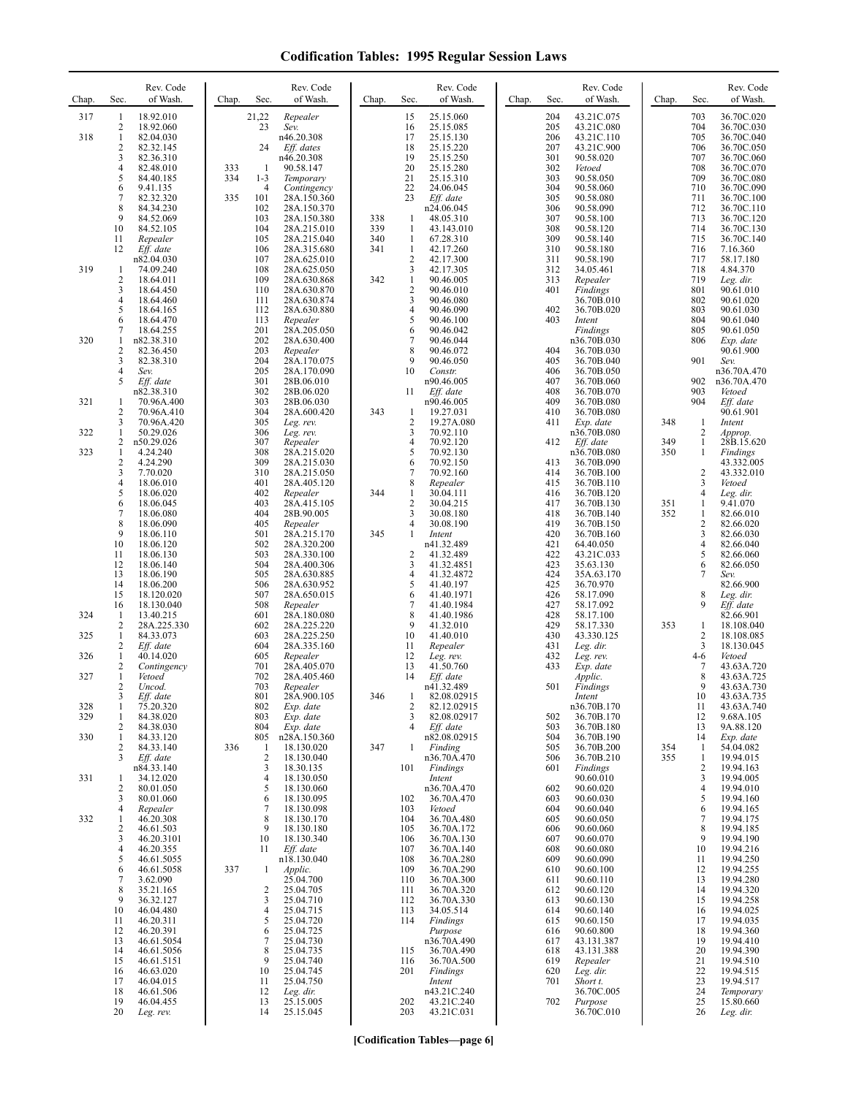| Chap.      | Sec.                 | Rev. Code<br>of Wash.    | Chap.      | Sec.                | Rev. Code<br>of Wash.      | Chap.      | Sec.                | Rev. Code<br>of Wash.      | Chap. | Sec.       | Rev. Code<br>of Wash.      | Chap.      | Sec.                | Rev. Code<br>of Wash.    |
|------------|----------------------|--------------------------|------------|---------------------|----------------------------|------------|---------------------|----------------------------|-------|------------|----------------------------|------------|---------------------|--------------------------|
| 317        | 1<br>2               | 18.92.010<br>18.92.060   |            | 21,22<br>23         | Repealer<br>Sev.           |            | 15<br>16            | 25.15.060<br>25.15.085     |       | 204<br>205 | 43.21C.075<br>43.21C.080   |            | 703<br>704          | 36.70C.020<br>36.70C.030 |
| 318        | 1                    | 82.04.030                |            |                     | n46.20.308                 |            | 17                  | 25.15.130                  |       | 206        | 43.21C.110                 |            | 705                 | 36.70C.040               |
|            | $\overline{c}$<br>3  | 82.32.145<br>82.36.310   |            | 24                  | Eff. dates<br>n46.20.308   |            | 18<br>19            | 25.15.220<br>25.15.250     |       | 207<br>301 | 43.21C.900<br>90.58.020    |            | 706<br>707          | 36.70C.050<br>36.70C.060 |
|            | 4<br>5               | 82.48.010<br>84.40.185   | 333<br>334 | -1<br>$1 - 3$       | 90.58.147<br>Temporary     |            | 20<br>21            | 25.15.280<br>25.15.310     |       | 302<br>303 | Vetoed<br>90.58.050        |            | 708<br>709          | 36.70C.070<br>36.70C.080 |
|            | 6                    | 9.41.135                 |            | $\overline{4}$      | Contingency                |            | 22                  | 24.06.045                  |       | 304        | 90.58.060                  |            | 710                 | 36.70C.090               |
|            | 7<br>8               | 82.32.320<br>84.34.230   | 335        | 101<br>102          | 28A.150.360<br>28A.150.370 |            | 23                  | Eff. date<br>n24.06.045    |       | 305<br>306 | 90.58.080<br>90.58.090     |            | 711<br>712          | 36.70C.100<br>36.70C.110 |
|            | 9<br>10              | 84.52.069<br>84.52.105   |            | 103<br>104          | 28A.150.380<br>28A.215.010 | 338<br>339 | 1<br>$\mathbf{1}$   | 48.05.310<br>43.143.010    |       | 307<br>308 | 90.58.100<br>90.58.120     |            | 713<br>714          | 36.70C.120<br>36.70C.130 |
|            | 11<br>12             | Repealer<br>Eff. date    |            | 105<br>106          | 28A.215.040<br>28A.315.680 | 340<br>341 | 1<br>1              | 67.28.310<br>42.17.260     |       | 309<br>310 | 90.58.140<br>90.58.180     |            | 715<br>716          | 36.70C.140<br>7.16.360   |
|            |                      | n82.04.030               |            | 107                 | 28A.625.010                |            | $\overline{2}$      | 42.17.300                  |       | 311        | 90.58.190                  |            | 717                 | 58.17.180                |
| 319        | 1<br>$\overline{c}$  | 74.09.240<br>18.64.011   |            | 108<br>109          | 28A.625.050<br>28A.630.868 | 342        | 3<br>$\mathbf{1}$   | 42.17.305<br>90.46.005     |       | 312<br>313 | 34.05.461<br>Repealer      |            | 718<br>719          | 4.84.370<br>Leg. dir.    |
|            | 3<br>4               | 18.64.450<br>18.64.460   |            | 110<br>111          | 28A.630.870<br>28A.630.874 |            | $\overline{c}$<br>3 | 90.46.010<br>90.46.080     |       | 401        | Findings<br>36.70B.010     |            | 801<br>802          | 90.61.010<br>90.61.020   |
|            | 5<br>6               | 18.64.165<br>18.64.470   |            | 112<br>113          | 28A.630.880<br>Repealer    |            | 4<br>5              | 90.46.090<br>90.46.100     |       | 402<br>403 | 36.70B.020<br>Intent       |            | 803<br>804          | 90.61.030<br>90.61.040   |
|            | 7                    | 18.64.255                |            | 201                 | 28A.205.050                |            | 6                   | 90.46.042                  |       |            | Findings                   |            | 805                 | 90.61.050                |
| 320        | 1<br>$\overline{c}$  | n82.38.310<br>82.36.450  |            | 202<br>203          | 28A.630.400<br>Repealer    |            | 7<br>8              | 90.46.044<br>90.46.072     |       | 404        | n36.70B.030<br>36.70B.030  |            | 806                 | Exp. date<br>90.61.900   |
|            | 3<br>4               | 82.38.310<br>Sev.        |            | 204<br>205          | 28A.170.075<br>28A.170.090 |            | 9<br>10             | 90.46.050<br>Constr.       |       | 405<br>406 | 36.70B.040<br>36.70B.050   |            | 901                 | Sev.<br>n36.70A.470      |
|            | 5                    | Eff. date<br>n82.38.310  |            | 301<br>302          | 28B.06.010<br>28B.06.020   |            | 11                  | n90.46.005<br>Eff. date    |       | 407<br>408 | 36.70B.060<br>36.70B.070   |            | 902<br>903          | n36.70A.470<br>Vetoed    |
| 321        | 1                    | 70.96A.400               |            | 303                 | 28B.06.030                 |            |                     | n90.46.005                 |       | 409        | 36.70B.080                 |            | 904                 | Eff. date<br>90.61.901   |
|            | $\overline{c}$<br>3  | 70.96A.410<br>70.96A.420 |            | 304<br>305          | 28A.600.420<br>Leg. rev.   | 343        | 1<br>$\overline{2}$ | 19.27.031<br>19.27A.080    |       | 410<br>411 | 36.70B.080<br>Exp. date    | 348        | 1                   | Intent                   |
| 322        | 1<br>2               | 50.29.026<br>n50.29.026  |            | 306<br>307          | Leg. rev.<br>Repealer      |            | 3<br>4              | 70.92.110<br>70.92.120     |       | 412        | n36.70B.080<br>$Eff.$ date | 349        | 2<br>$\mathbf{1}$   | Approp.<br>28B.15.620    |
| 323        | 1<br>$\overline{c}$  | 4.24.240<br>4.24.290     |            | 308<br>309          | 28A.215.020<br>28A.215.030 |            | 5<br>6              | 70.92.130<br>70.92.150     |       | 413        | n36.70B.080<br>36.70B.090  | 350        | 1                   | Findings<br>43.332.005   |
|            | 3<br>4               | 7.70.020<br>18.06.010    |            | 310<br>401          | 28A.215.050<br>28A.405.120 |            | $\overline{7}$<br>8 | 70.92.160<br>Repealer      |       | 414<br>415 | 36.70B.100<br>36.70B.110   |            | $\overline{c}$<br>3 | 43.332.010<br>Vetoed     |
|            | 5                    | 18.06.020                |            | 402                 | Repealer                   | 344        | 1                   | 30.04.111                  |       | 416        | 36.70B.120                 |            | 4                   | Leg. dir.                |
|            | 6<br>7               | 18.06.045<br>18.06.080   |            | 403<br>404          | 28A.415.105<br>28B.90.005  |            | $\overline{2}$<br>3 | 30.04.215<br>30.08.180     |       | 417<br>418 | 36.70B.130<br>36.70B.140   | 351<br>352 | 1<br>1              | 9.41.070<br>82.66.010    |
|            | 8<br>9               | 18.06.090<br>18.06.110   |            | 405<br>501          | Repealer<br>28A.215.170    | 345        | 4<br>1              | 30.08.190<br>Intent        |       | 419<br>420 | 36.70B.150<br>36.70B.160   |            | 2<br>3              | 82.66.020<br>82.66.030   |
|            | 10<br>11             | 18.06.120<br>18.06.130   |            | 502<br>503          | 28A.320.200<br>28A.330.100 |            | $\overline{2}$      | n41.32.489<br>41.32.489    |       | 421<br>422 | 64.40.050<br>43.21C.033    |            | 4<br>5              | 82.66.040<br>82.66.060   |
|            | 12                   | 18.06.140                |            | 504                 | 28A.400.306                |            | 3                   | 41.32.4851                 |       | 423        | 35.63.130                  |            | 6                   | 82.66.050                |
|            | 13<br>14             | 18.06.190<br>18.06.200   |            | 505<br>506          | 28A.630.885<br>28A.630.952 |            | 4<br>5              | 41.32.4872<br>41.40.197    |       | 424<br>425 | 35A.63.170<br>36.70.970    |            | 7                   | Sev.<br>82.66.900        |
|            | 15<br>16             | 18.120.020<br>18.130.040 |            | 507<br>508          | 28A.650.015<br>Repealer    |            | 6<br>7              | 41.40.1971<br>41.40.1984   |       | 426<br>427 | 58.17.090<br>58.17.092     |            | 8<br>9              | Leg. dir.<br>Eff. date   |
| 324        | -1<br>$\overline{c}$ | 13.40.215<br>28A.225.330 |            | 601<br>602          | 28A.180.080<br>28A.225.220 |            | 8<br>9              | 41.40.1986<br>41.32.010    |       | 428<br>429 | 58.17.100<br>58.17.330     | 353        | 1                   | 82.66.901<br>18.108.040  |
| 325        | $\mathbf{1}$         | 84.33.073                |            | 603                 | 28A.225.250                |            | 10                  | 41.40.010                  |       | 430        | 43.330.125                 |            | 2                   | 18.108.085               |
| 326        | 2<br>1               | Eff. date<br>40.14.020   |            | 604<br>605          | 28A.335.160<br>Repealer    |            | 11<br>12            | Repealer<br>Leg. rev.      |       | 431<br>432 | Leg. dir.<br>Leg. rev.     |            | 3<br>4-6            | 18.130.045<br>Vetoed     |
| 327        | $\overline{c}$<br>1  | Contingency<br>Vetoed    |            | 701<br>702          | 28A.405.070<br>28A.405.460 |            | 13<br>14            | 41.50.760<br>Eff. date     |       | 433        | Exp. date<br>Applic.       |            | 7<br>8              | 43.63A.720<br>43.63A.725 |
|            | 2<br>3               | Uncod.<br>Eff. date      |            | 703<br>801          | Repealer<br>28A.900.105    | 346        |                     | n41.32.489<br>82.08.02915  |       | 501        | Findings<br>Intent         |            | 9<br>10             | 43.63A.730<br>43.63A.735 |
| 328<br>329 | 1<br>1               | 75.20.320<br>84.38.020   |            | 802<br>803          | Exp. date<br>Exp. date     |            | 2<br>3              | 82.12.02915<br>82.08.02917 |       | 502        | n36.70B.170<br>36.70B.170  |            | 11<br>12            | 43.63A.740<br>9.68A.105  |
|            | 2                    | 84.38.030                |            | 804                 | Exp. date                  |            | 4                   | Eff. date                  |       | 503        | 36.70B.180                 |            | 13                  | 9A.88.120                |
| 330        | 1<br>2               | 84.33.120<br>84.33.140   | 336        | 805<br>$\mathbf{1}$ | n28A.150.360<br>18.130.020 | 347        | 1                   | n82.08.02915<br>Finding    |       | 504<br>505 | 36.70B.190<br>36.70B.200   | 354        | 14<br>$\mathbf{1}$  | Exp. date<br>54.04.082   |
|            | 3                    | Eff. date<br>n84.33.140  |            | $\overline{2}$<br>3 | 18.130.040<br>18.30.135    |            | 101                 | n36.70A.470<br>Findings    |       | 506<br>601 | 36.70B.210<br>Findings     | 355        | 1<br>2              | 19.94.015<br>19.94.163   |
| 331        | 1<br>2               | 34.12.020<br>80.01.050   |            | $\overline{4}$<br>5 | 18.130.050<br>18.130.060   |            |                     | Intent<br>n36.70A.470      |       | 602        | 90.60.010<br>90.60.020     |            | 3<br>4              | 19.94.005<br>19.94.010   |
|            | 3                    | 80.01.060                |            | 6<br>7              | 18.130.095                 |            | 102                 | 36.70A.470                 |       | 603        | 90.60.030                  |            | 5                   | 19.94.160                |
| 332        | 4<br>1               | Repealer<br>46.20.308    |            | 8                   | 18.130.098<br>18.130.170   |            | 103<br>104          | Vetoed<br>36.70A.480       |       | 604<br>605 | 90.60.040<br>90.60.050     |            | 6<br>7              | 19.94.165<br>19.94.175   |
|            | $\overline{c}$<br>3  | 46.61.503<br>46.20.3101  |            | 9<br>10             | 18.130.180<br>18.130.340   |            | 105<br>106          | 36.70A.172<br>36.70A.130   |       | 606<br>607 | 90.60.060<br>90.60.070     |            | 8<br>9              | 19.94.185<br>19.94.190   |
|            | 4<br>5               | 46.20.355<br>46.61.5055  |            | 11                  | Eff. date<br>n18.130.040   |            | 107<br>108          | 36.70A.140<br>36.70A.280   |       | 608<br>609 | 90.60.080<br>90.60.090     |            | 10<br>11            | 19.94.216<br>19.94.250   |
|            | 6                    | 46.61.5058               | 337        | -1                  | Applic.                    |            | 109                 | 36.70A.290                 |       | 610        | 90.60.100                  |            | 12                  | 19.94.255                |
|            | 7<br>8               | 3.62.090<br>35.21.165    |            | 2                   | 25.04.700<br>25.04.705     |            | 110<br>111          | 36.70A.300<br>36.70A.320   |       | 611<br>612 | 90.60.110<br>90.60.120     |            | 13<br>14            | 19.94.280<br>19.94.320   |
|            | 9<br>10              | 36.32.127<br>46.04.480   |            | 3<br>4              | 25.04.710<br>25.04.715     |            | 112<br>113          | 36.70A.330<br>34.05.514    |       | 613<br>614 | 90.60.130<br>90.60.140     |            | 15<br>16            | 19.94.258<br>19.94.025   |
|            | 11<br>12             | 46.20.311<br>46.20.391   |            | 5<br>6              | 25.04.720<br>25.04.725     |            | 114                 | Findings<br>Purpose        |       | 615<br>616 | 90.60.150<br>90.60.800     |            | 17<br>18            | 19.94.035<br>19.94.360   |
|            | 13                   | 46.61.5054               |            | 7                   | 25.04.730                  |            |                     | n36.70A.490                |       | 617        | 43.131.387                 |            | 19                  | 19.94.410                |
|            | 14<br>15             | 46.61.5056<br>46.61.5151 |            | 8<br>9              | 25.04.735<br>25.04.740     |            | 115<br>116          | 36.70A.490<br>36.70A.500   |       | 618<br>619 | 43.131.388<br>Repealer     |            | 20<br>21            | 19.94.390<br>19.94.510   |
|            | 16<br>17             | 46.63.020<br>46.04.015   |            | 10<br>11            | 25.04.745<br>25.04.750     |            | 201                 | Findings<br>Intent         |       | 620<br>701 | Leg. dir.<br>Short t.      |            | 22<br>23            | 19.94.515<br>19.94.517   |
|            | 18<br>19             | 46.61.506<br>46.04.455   |            | 12<br>13            | Leg. dir.<br>25.15.005     |            | 202                 | n43.21C.240<br>43.21C.240  |       | 702        | 36.70C.005<br>Purpose      |            | 24<br>25            | Temporary<br>15.80.660   |
|            | 20                   | Leg. rev.                |            | 14                  | 25.15.045                  |            | 203                 | 43.21C.031                 |       |            | 36.70C.010                 |            | 26                  | Leg. dir.                |

**[Codification Tables—page 6]**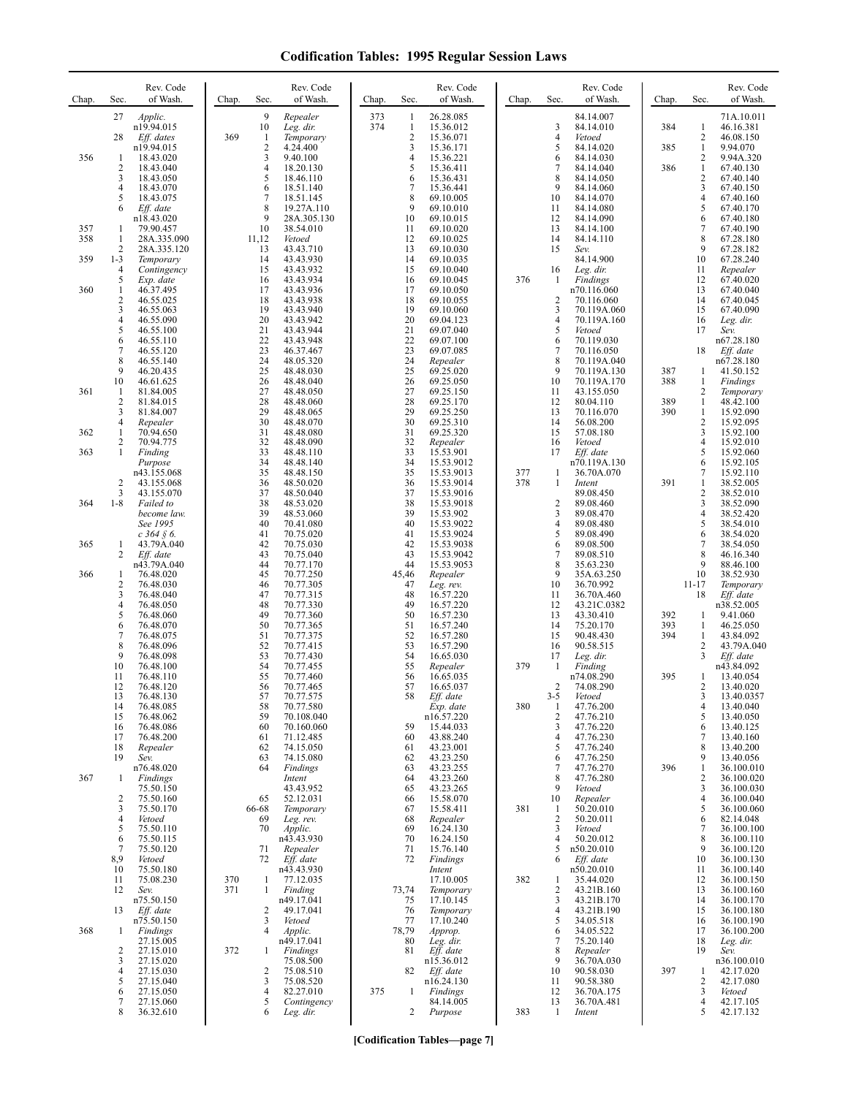| Chap. | Sec.                         | Rev. Code<br>of Wash.      | Chap.      | Sec.                | Rev. Code<br>of Wash.     | Chap.      | Sec.                         | Rev. Code<br>of Wash.     | Chap. | Sec.                 | Rev. Code<br>of Wash.      | Chap.      | Sec.                           | Rev. Code<br>of Wash.    |
|-------|------------------------------|----------------------------|------------|---------------------|---------------------------|------------|------------------------------|---------------------------|-------|----------------------|----------------------------|------------|--------------------------------|--------------------------|
|       | 27                           | Applic.<br>n19.94.015      |            | 9<br>10             | Repealer<br>Leg. dir.     | 373<br>374 | $\mathbf{1}$<br>$\mathbf{1}$ | 26.28.085<br>15.36.012    |       | 3                    | 84.14.007<br>84.14.010     | 384        | $\mathbf{1}$                   | 71A.10.011<br>46.16.381  |
|       | 28                           | Eff. dates<br>n19.94.015   | 369        | 1<br>$\overline{2}$ | Temporary<br>4.24.400     |            | $\overline{2}$<br>3          | 15.36.071<br>15.36.171    |       | $\overline{4}$<br>5  | Vetoed<br>84.14.020        | 385        | 2<br>$\mathbf{1}$              | 46.08.150<br>9.94.070    |
| 356   | -1                           | 18.43.020                  |            | 3                   | 9.40.100                  |            | 4                            | 15.36.221                 |       | 6                    | 84.14.030                  |            | 2                              | 9.94A.320                |
|       | $\overline{c}$<br>3          | 18.43.040<br>18.43.050     |            | $\overline{4}$<br>5 | 18.20.130<br>18.46.110    |            | 5<br>6                       | 15.36.411<br>15.36.431    |       | $\overline{7}$<br>8  | 84.14.040<br>84.14.050     | 386        | $\mathbf{1}$<br>$\mathbf{2}$   | 67.40.130<br>67.40.140   |
|       | 4<br>5                       | 18.43.070<br>18.43.075     |            | 6<br>7              | 18.51.140<br>18.51.145    |            | 7<br>8                       | 15.36.441<br>69.10.005    |       | 9<br>10              | 84.14.060<br>84.14.070     |            | 3<br>4                         | 67.40.150<br>67.40.160   |
|       | 6                            | Eff. date<br>n18.43.020    |            | 8<br>9              | 19.27A.110<br>28A.305.130 |            | 9<br>10                      | 69.10.010<br>69.10.015    |       | 11<br>12             | 84.14.080<br>84.14.090     |            | 5<br>6                         | 67.40.170<br>67.40.180   |
| 357   | -1                           | 79.90.457                  |            | 10                  | 38.54.010                 |            | 11<br>12                     | 69.10.020<br>69.10.025    |       | 13<br>14             | 84.14.100                  |            | 7<br>8                         | 67.40.190                |
| 358   | 1<br>2                       | 28A.335.090<br>28A.335.120 |            | 11,12<br>13         | Vetoed<br>43.43.710       |            | 13                           | 69.10.030                 |       | 15                   | 84.14.110<br>Sev.          |            | 9                              | 67.28.180<br>67.28.182   |
| 359   | $1 - 3$<br>4                 | Temporary<br>Contingency   |            | 14<br>15            | 43.43.930<br>43.43.932    |            | 14<br>15                     | 69.10.035<br>69.10.040    |       | 16                   | 84.14.900<br>Leg. dir.     |            | 10<br>11                       | 67.28.240<br>Repealer    |
| 360   | 5<br>1                       | Exp. date<br>46.37.495     |            | 16<br>17            | 43.43.934<br>43.43.936    |            | 16<br>17                     | 69.10.045<br>69.10.050    | 376   | -1                   | Findings<br>n70.116.060    |            | 12<br>13                       | 67.40.020<br>67.40.040   |
|       | $\overline{c}$<br>3          | 46.55.025<br>46.55.063     |            | 18<br>19            | 43.43.938<br>43.43.940    |            | 18<br>19                     | 69.10.055<br>69.10.060    |       | $\overline{c}$<br>3  | 70.116.060<br>70.119A.060  |            | 14<br>15                       | 67.40.045<br>67.40.090   |
|       | $\overline{\mathbf{4}}$<br>5 | 46.55.090<br>46.55.100     |            | 20<br>21            | 43.43.942<br>43.43.944    |            | 20<br>21                     | 69.04.123<br>69.07.040    |       | $\overline{4}$<br>5  | 70.119A.160<br>Vetoed      |            | 16<br>17                       | Leg. dir.<br>Sev.        |
|       | 6<br>7                       | 46.55.110                  |            | 22                  | 43.43.948                 |            | 22                           | 69.07.100                 |       | 6<br>$\overline{7}$  | 70.119.030                 |            |                                | n67.28.180               |
|       | 8                            | 46.55.120<br>46.55.140     |            | 23<br>24            | 46.37.467<br>48.05.320    |            | 23<br>24                     | 69.07.085<br>Repealer     |       | 8                    | 70.116.050<br>70.119A.040  |            | 18                             | Eff. date<br>n67.28.180  |
|       | 9<br>10                      | 46.20.435<br>46.61.625     |            | 25<br>26            | 48.48.030<br>48.48.040    |            | 25<br>26                     | 69.25.020<br>69.25.050    |       | 9<br>10              | 70.119A.130<br>70.119A.170 | 387<br>388 | 1<br>$\mathbf{1}$              | 41.50.152<br>Findings    |
| 361   | -1<br>2                      | 81.84.005<br>81.84.015     |            | 27<br>28            | 48.48.050<br>48.48.060    |            | 27<br>28                     | 69.25.150<br>69.25.170    |       | 11<br>12             | 43.155.050<br>80.04.110    | 389        | $\overline{c}$<br>$\mathbf{1}$ | Temporary<br>48.42.100   |
|       | 3<br>4                       | 81.84.007<br>Repealer      |            | 29<br>30            | 48.48.065<br>48.48.070    |            | 29<br>30                     | 69.25.250<br>69.25.310    |       | 13<br>14             | 70.116.070<br>56.08.200    | 390        | $\mathbf{1}$<br>2              | 15.92.090<br>15.92.095   |
| 362   | 1<br>2                       | 70.94.650<br>70.94.775     |            | 31<br>32            | 48.48.080<br>48.48.090    |            | 31<br>32                     | 69.25.320<br>Repealer     |       | 15<br>16             | 57.08.180<br>Vetoed        |            | 3<br>4                         | 15.92.100<br>15.92.010   |
| 363   | 1                            | Finding                    |            | 33                  | 48.48.110                 |            | 33                           | 15.53.901                 |       | 17                   | Eff. date                  |            | 5                              | 15.92.060                |
|       |                              | Purpose<br>n43.155.068     |            | 34<br>35            | 48.48.140<br>48.48.150    |            | 34<br>35                     | 15.53.9012<br>15.53.9013  | 377   | 1                    | n70.119A.130<br>36.70A.070 |            | 6<br>7                         | 15.92.105<br>15.92.110   |
|       | 2<br>3                       | 43.155.068<br>43.155.070   |            | 36<br>37            | 48.50.020<br>48.50.040    |            | 36<br>37                     | 15.53.9014<br>15.53.9016  | 378   | 1                    | Intent<br>89.08.450        | 391        | 1<br>$\overline{c}$            | 38.52.005<br>38.52.010   |
| 364   | $1 - 8$                      | Failed to<br>become law.   |            | 38<br>39            | 48.53.020<br>48.53.060    |            | 38<br>39                     | 15.53.9018<br>15.53.902   |       | $\overline{2}$<br>3  | 89.08.460<br>89.08.470     |            | 3<br>4                         | 38.52.090<br>38.52.420   |
|       |                              | See 1995<br>$c$ 364 § 6.   |            | 40<br>41            | 70.41.080<br>70.75.020    |            | 40<br>41                     | 15.53.9022<br>15.53.9024  |       | $\overline{4}$<br>5  | 89.08.480<br>89.08.490     |            | 5<br>6                         | 38.54.010<br>38.54.020   |
| 365   | 1<br>2                       | 43.79A.040<br>Eff. date    |            | 42<br>43            | 70.75.030<br>70.75.040    |            | 42<br>43                     | 15.53.9038<br>15.53.9042  |       | 6<br>$\tau$          | 89.08.500<br>89.08.510     |            | 7<br>8                         | 38.54.050<br>46.16.340   |
| 366   | 1                            | n43.79A.040<br>76.48.020   |            | 44<br>45            | 70.77.170<br>70.77.250    |            | 44<br>45,46                  | 15.53.9053                |       | 8<br>9               | 35.63.230                  |            | 9<br>10                        | 88.46.100<br>38.52.930   |
|       | $\overline{c}$               | 76.48.030                  |            | 46                  | 70.77.305                 |            | 47                           | Repealer<br>Leg. rev.     |       | 10                   | 35A.63.250<br>36.70.992    |            | $11 - 17$                      | Temporary                |
|       | 3<br>4                       | 76.48.040<br>76.48.050     |            | 47<br>48            | 70.77.315<br>70.77.330    |            | 48<br>49                     | 16.57.220<br>16.57.220    |       | 11<br>12             | 36.70A.460<br>43.21C.0382  |            | 18                             | Eff. date<br>n38.52.005  |
|       | 5<br>6                       | 76.48.060<br>76.48.070     |            | 49<br>50            | 70.77.360<br>70.77.365    |            | 50<br>51                     | 16.57.230<br>16.57.240    |       | 13<br>14             | 43.30.410<br>75.20.170     | 392<br>393 | 1<br>1                         | 9.41.060<br>46.25.050    |
|       | 7<br>8                       | 76.48.075<br>76.48.096     |            | 51<br>52            | 70.77.375<br>70.77.415    |            | 52<br>53                     | 16.57.280<br>16.57.290    |       | 15<br>16             | 90.48.430<br>90.58.515     | 394        | 1<br>2                         | 43.84.092<br>43.79A.040  |
|       | 9<br>10                      | 76.48.098<br>76.48.100     |            | 53<br>54            | 70.77.430<br>70.77.455    |            | 54<br>55                     | 16.65.030<br>Repealer     | 379   | 17<br>-1             | Leg. dir.<br>Finding       |            | 3                              | Eff. date<br>n43.84.092  |
|       | 11<br>12                     | 76.48.110<br>76.48.120     |            | 55<br>56            | 70.77.460<br>70.77.465    |            | 56<br>57                     | 16.65.035<br>16.65.037    |       | $\overline{c}$       | n74.08.290<br>74.08.290    | 395        | 1<br>2                         | 13.40.054<br>13.40.020   |
|       | 13                           | 76.48.130                  |            | 57                  | 70.77.575                 |            | 58                           | Eff. date                 |       | $3 - 5$              | Vetoed                     |            | 3                              | 13.40.0357               |
|       | 14<br>15                     | 76.48.085<br>76.48.062     |            | 58<br>59            | 70.77.580<br>70.108.040   |            |                              | Exp. date<br>n16.57.220   | 380   | -1<br>$\overline{2}$ | 47.76.200<br>47.76.210     |            | $\overline{4}$<br>5            | 13.40.040<br>13.40.050   |
|       | 16<br>17                     | 76.48.086<br>76.48.200     |            | 60<br>61            | 70.160.060<br>71.12.485   |            | 59<br>60                     | 15.44.033<br>43.88.240    |       | 3<br>4               | 47.76.220<br>47.76.230     |            | 6<br>7                         | 13.40.125<br>13.40.160   |
|       | 18<br>19                     | Repealer<br>Sev.           |            | 62<br>63            | 74.15.050<br>74.15.080    |            | 61<br>62                     | 43.23.001<br>43.23.250    |       | 5<br>6               | 47.76.240<br>47.76.250     |            | 8<br>9                         | 13.40.200<br>13.40.056   |
| 367   | -1                           | n76.48.020<br>Findings     |            | 64                  | Findings<br>Intent        |            | 63<br>64                     | 43.23.255<br>43.23.260    |       | 7<br>8               | 47.76.270<br>47.76.280     | 396        | $\mathbf{1}$<br>2              | 36.100.010<br>36.100.020 |
|       | $\overline{c}$               | 75.50.150<br>75.50.160     |            | 65                  | 43.43.952<br>52.12.031    |            | 65<br>66                     | 43.23.265<br>15.58.070    |       | 9<br>10              | Vetoed<br>Repealer         |            | 3<br>4                         | 36.100.030<br>36.100.040 |
|       | 3                            | 75.50.170                  |            | 66-68               | Temporary                 |            | 67                           | 15.58.411                 | 381   | -1                   | 50.20.010                  |            | 5                              | 36.100.060               |
|       | 4<br>5                       | Vetoed<br>75.50.110        |            | 69<br>70            | Leg. rev.<br>Applic.      |            | 68<br>69                     | Repealer<br>16.24.130     |       | $\overline{2}$<br>3  | 50.20.011<br>Vetoed        |            | 6<br>7                         | 82.14.048<br>36.100.100  |
|       | 6<br>7                       | 75.50.115<br>75.50.120     |            | 71                  | n43.43.930<br>Repealer    |            | 70<br>71                     | 16.24.150<br>15.76.140    |       | $\overline{4}$<br>5  | 50.20.012<br>n50.20.010    |            | 8<br>9                         | 36.100.110<br>36.100.120 |
|       | 8,9<br>10                    | Vetoed<br>75.50.180        |            | 72                  | Eff. date<br>n43.43.930   |            | 72                           | <b>Findings</b><br>Intent |       | 6                    | Eff. date<br>n50.20.010    |            | 10<br>11                       | 36.100.130<br>36.100.140 |
|       | 11<br>12                     | 75.08.230<br>Sev.          | 370<br>371 | 1<br>$\mathbf{1}$   | 77.12.035<br>Finding      |            | 73,74                        | 17.10.005<br>Temporary    | 382   | -1<br>$\overline{2}$ | 35.44.020<br>43.21B.160    |            | 12<br>13                       | 36.100.150<br>36.100.160 |
|       | 13                           | n75.50.150<br>Eff. date    |            | 2                   | n49.17.041<br>49.17.041   |            | 75<br>76                     | 17.10.145<br>Temporary    |       | 3<br>$\overline{4}$  | 43.21B.170<br>43.21B.190   |            | 14<br>15                       | 36.100.170<br>36.100.180 |
|       |                              | n75.50.150                 |            | 3<br>$\overline{4}$ | Vetoed                    |            | 77                           | 17.10.240                 |       | 5                    | 34.05.518                  |            | 16                             | 36.100.190               |
| 368   | 1                            | Findings<br>27.15.005      |            |                     | Applic.<br>n49.17.041     |            | 78,79<br>80                  | Approp.<br>Leg. dir.      |       | 6<br>7               | 34.05.522<br>75.20.140     |            | 17<br>18                       | 36.100.200<br>Leg. dir.  |
|       | 2<br>3                       | 27.15.010<br>27.15.020     | 372        | 1                   | Findings<br>75.08.500     |            | 81                           | Eff. date<br>n15.36.012   |       | 8<br>9               | Repealer<br>36.70A.030     |            | 19                             | Sev.<br>n36.100.010      |
|       | 4<br>5                       | 27.15.030<br>27.15.040     |            | 2<br>3              | 75.08.510<br>75.08.520    |            | 82                           | Eff. date<br>n16.24.130   |       | 10<br>11             | 90.58.030<br>90.58.380     | 397        | -1<br>2                        | 42.17.020<br>42.17.080   |
|       | 6<br>7                       | 27.15.050<br>27.15.060     |            | 4<br>5              | 82.27.010<br>Contingency  | 375        | $\mathbf{1}$                 | Findings<br>84.14.005     |       | 12<br>13             | 36.70A.175<br>36.70A.481   |            | 3<br>4                         | Vetoed<br>42.17.105      |
|       | 8                            | 36.32.610                  |            | 6                   | Leg. dir.                 |            | 2                            | Purpose                   | 383   | 1                    | Intent                     |            | 5                              | 42.17.132                |

**[Codification Tables—page 7]**